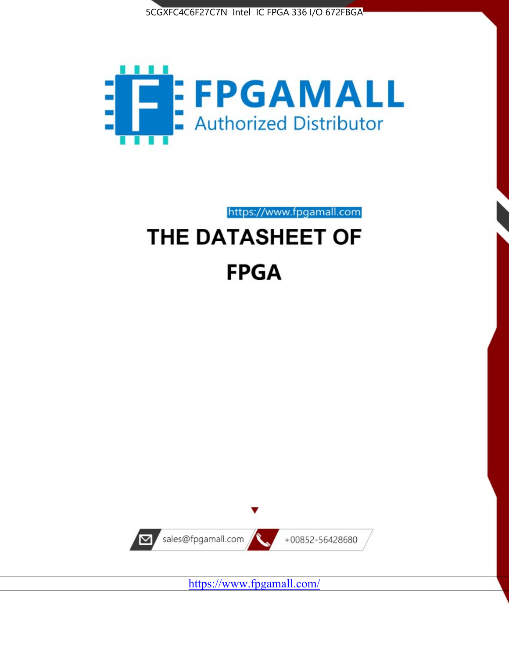



# https://www.fpgamall.com THE DATASHEET OF **FPGA**



<https://www.fpgamall.com/>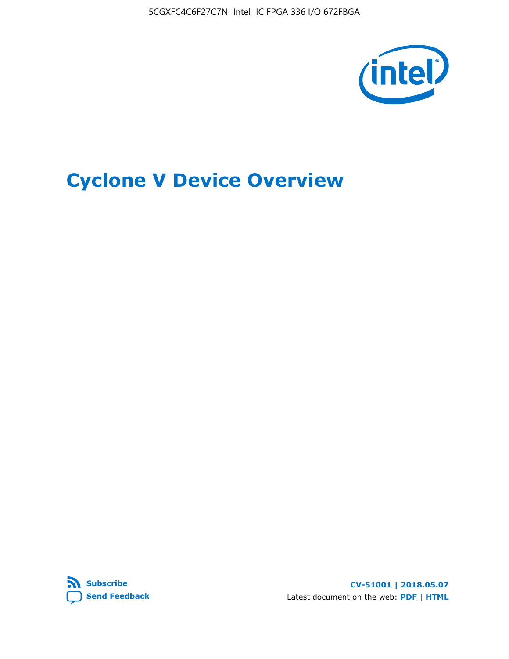5CGXFC4C6F27C7N Intel IC FPGA 336 I/O 672FBGA



## **Cyclone V Device Overview**



**CV-51001 | 2018.05.07** Latest document on the web: **[PDF](https://www.altera.com/en_US/pdfs/literature/hb/cyclone-v/cv_51001.pdf)** | **[HTML](https://www.altera.com/documentation/sam1403480548153.html)**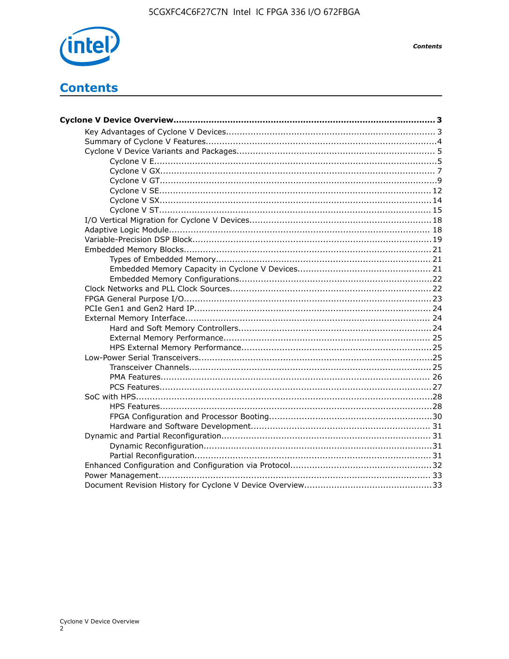

**Contents** 

## **Contents**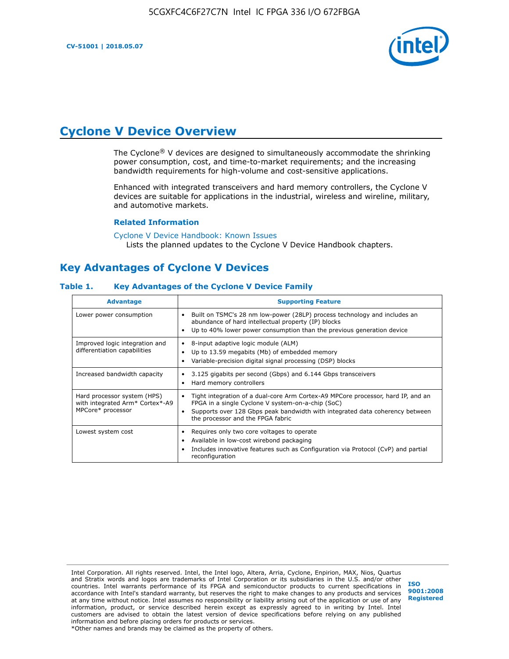

## **Cyclone V Device Overview**

The Cyclone® V devices are designed to simultaneously accommodate the shrinking power consumption, cost, and time-to-market requirements; and the increasing bandwidth requirements for high-volume and cost-sensitive applications.

Enhanced with integrated transceivers and hard memory controllers, the Cyclone V devices are suitable for applications in the industrial, wireless and wireline, military, and automotive markets.

#### **Related Information**

[Cyclone V Device Handbook: Known Issues](https://www.altera.com/support/support-resources/knowledge-base/solutions/rd12152011_347.html) Lists the planned updates to the Cyclone V Device Handbook chapters.

## **Key Advantages of Cyclone V Devices**

#### **Table 1. Key Advantages of the Cyclone V Device Family**

| <b>Advantage</b>                                                                    | <b>Supporting Feature</b>                                                                                                                                                                                                                                                    |
|-------------------------------------------------------------------------------------|------------------------------------------------------------------------------------------------------------------------------------------------------------------------------------------------------------------------------------------------------------------------------|
| Lower power consumption                                                             | Built on TSMC's 28 nm low-power (28LP) process technology and includes an<br>٠<br>abundance of hard intellectual property (IP) blocks<br>Up to 40% lower power consumption than the previous generation device<br>٠                                                          |
| Improved logic integration and<br>differentiation capabilities                      | 8-input adaptive logic module (ALM)<br>٠<br>Up to 13.59 megabits (Mb) of embedded memory<br>٠<br>Variable-precision digital signal processing (DSP) blocks<br>٠                                                                                                              |
| Increased bandwidth capacity                                                        | 3.125 gigabits per second (Gbps) and 6.144 Gbps transceivers<br>٠<br>Hard memory controllers<br>٠                                                                                                                                                                            |
| Hard processor system (HPS)<br>with integrated Arm* Cortex*-A9<br>MPCore* processor | Tight integration of a dual-core Arm Cortex-A9 MPCore processor, hard IP, and an<br>$\bullet$<br>FPGA in a single Cyclone V system-on-a-chip (SoC)<br>Supports over 128 Gbps peak bandwidth with integrated data coherency between<br>٠<br>the processor and the FPGA fabric |
| Lowest system cost                                                                  | Requires only two core voltages to operate<br>٠<br>Available in low-cost wirebond packaging<br>٠<br>Includes innovative features such as Configuration via Protocol (CvP) and partial<br>٠<br>reconfiguration                                                                |

Intel Corporation. All rights reserved. Intel, the Intel logo, Altera, Arria, Cyclone, Enpirion, MAX, Nios, Quartus and Stratix words and logos are trademarks of Intel Corporation or its subsidiaries in the U.S. and/or other countries. Intel warrants performance of its FPGA and semiconductor products to current specifications in accordance with Intel's standard warranty, but reserves the right to make changes to any products and services at any time without notice. Intel assumes no responsibility or liability arising out of the application or use of any information, product, or service described herein except as expressly agreed to in writing by Intel. Intel customers are advised to obtain the latest version of device specifications before relying on any published information and before placing orders for products or services. \*Other names and brands may be claimed as the property of others.

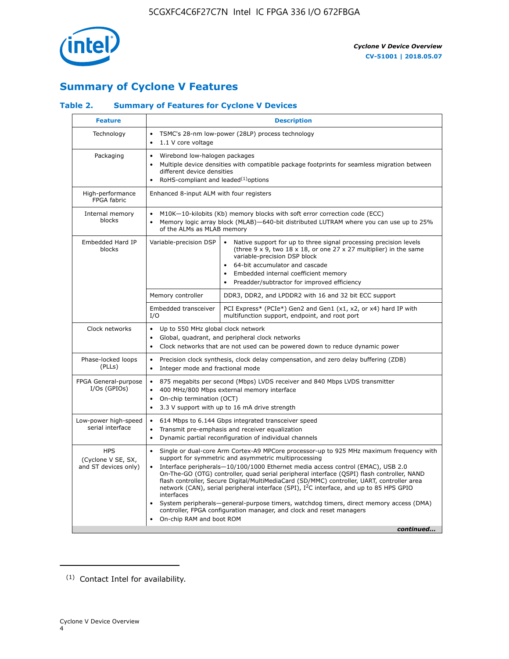

## **Summary of Cyclone V Features**

#### **Table 2. Summary of Features for Cyclone V Devices**

| <b>Feature</b>                                           | <b>Description</b>                                                                                                                                                                                                                                                                                                                        |                                                                                                                                                                                                                                                                                                                                                                                                                                                                                                                                                                                                                                                                                                         |  |  |  |  |  |  |  |
|----------------------------------------------------------|-------------------------------------------------------------------------------------------------------------------------------------------------------------------------------------------------------------------------------------------------------------------------------------------------------------------------------------------|---------------------------------------------------------------------------------------------------------------------------------------------------------------------------------------------------------------------------------------------------------------------------------------------------------------------------------------------------------------------------------------------------------------------------------------------------------------------------------------------------------------------------------------------------------------------------------------------------------------------------------------------------------------------------------------------------------|--|--|--|--|--|--|--|
| Technology                                               | TSMC's 28-nm low-power (28LP) process technology<br>$\bullet$<br>1.1 V core voltage<br>$\bullet$                                                                                                                                                                                                                                          |                                                                                                                                                                                                                                                                                                                                                                                                                                                                                                                                                                                                                                                                                                         |  |  |  |  |  |  |  |
| Packaging                                                | $\bullet$                                                                                                                                                                                                                                                                                                                                 | Wirebond low-halogen packages<br>Multiple device densities with compatible package footprints for seamless migration between<br>different device densities<br>RoHS-compliant and leaded $(1)$ options                                                                                                                                                                                                                                                                                                                                                                                                                                                                                                   |  |  |  |  |  |  |  |
| High-performance<br>FPGA fabric                          | Enhanced 8-input ALM with four registers                                                                                                                                                                                                                                                                                                  |                                                                                                                                                                                                                                                                                                                                                                                                                                                                                                                                                                                                                                                                                                         |  |  |  |  |  |  |  |
| Internal memory<br>blocks                                | of the ALMs as MLAB memory                                                                                                                                                                                                                                                                                                                | M10K-10-kilobits (Kb) memory blocks with soft error correction code (ECC)<br>Memory logic array block (MLAB)-640-bit distributed LUTRAM where you can use up to 25%                                                                                                                                                                                                                                                                                                                                                                                                                                                                                                                                     |  |  |  |  |  |  |  |
| Embedded Hard IP<br>blocks                               | Variable-precision DSP<br>Native support for up to three signal processing precision levels<br>(three $9 \times 9$ , two $18 \times 18$ , or one 27 x 27 multiplier) in the same<br>variable-precision DSP block<br>64-bit accumulator and cascade<br>Embedded internal coefficient memory<br>Preadder/subtractor for improved efficiency |                                                                                                                                                                                                                                                                                                                                                                                                                                                                                                                                                                                                                                                                                                         |  |  |  |  |  |  |  |
|                                                          | Memory controller                                                                                                                                                                                                                                                                                                                         | DDR3, DDR2, and LPDDR2 with 16 and 32 bit ECC support                                                                                                                                                                                                                                                                                                                                                                                                                                                                                                                                                                                                                                                   |  |  |  |  |  |  |  |
|                                                          | Embedded transceiver<br>I/O                                                                                                                                                                                                                                                                                                               | PCI Express* (PCIe*) Gen2 and Gen1 (x1, x2, or x4) hard IP with<br>multifunction support, endpoint, and root port                                                                                                                                                                                                                                                                                                                                                                                                                                                                                                                                                                                       |  |  |  |  |  |  |  |
| Clock networks                                           | Up to 550 MHz global clock network<br>$\bullet$<br>$\bullet$                                                                                                                                                                                                                                                                              | Global, quadrant, and peripheral clock networks<br>Clock networks that are not used can be powered down to reduce dynamic power                                                                                                                                                                                                                                                                                                                                                                                                                                                                                                                                                                         |  |  |  |  |  |  |  |
| Phase-locked loops<br>(PLLs)                             | $\bullet$<br>Integer mode and fractional mode<br>$\bullet$                                                                                                                                                                                                                                                                                | Precision clock synthesis, clock delay compensation, and zero delay buffering (ZDB)                                                                                                                                                                                                                                                                                                                                                                                                                                                                                                                                                                                                                     |  |  |  |  |  |  |  |
| FPGA General-purpose<br>$I/Os$ (GPIOs)                   | $\bullet$<br>$\bullet$<br>$\bullet$                                                                                                                                                                                                                                                                                                       | 875 megabits per second (Mbps) LVDS receiver and 840 Mbps LVDS transmitter<br>400 MHz/800 Mbps external memory interface<br>On-chip termination (OCT)<br>3.3 V support with up to 16 mA drive strength                                                                                                                                                                                                                                                                                                                                                                                                                                                                                                  |  |  |  |  |  |  |  |
| Low-power high-speed<br>serial interface                 | 614 Mbps to 6.144 Gbps integrated transceiver speed<br>$\bullet$<br>Transmit pre-emphasis and receiver equalization<br>$\bullet$<br>Dynamic partial reconfiguration of individual channels<br>$\bullet$                                                                                                                                   |                                                                                                                                                                                                                                                                                                                                                                                                                                                                                                                                                                                                                                                                                                         |  |  |  |  |  |  |  |
| <b>HPS</b><br>(Cyclone V SE, SX,<br>and ST devices only) | $\bullet$<br>$\bullet$<br>interfaces<br>On-chip RAM and boot ROM                                                                                                                                                                                                                                                                          | Single or dual-core Arm Cortex-A9 MPCore processor-up to 925 MHz maximum frequency with<br>support for symmetric and asymmetric multiprocessing<br>Interface peripherals-10/100/1000 Ethernet media access control (EMAC), USB 2.0<br>On-The-GO (OTG) controller, quad serial peripheral interface (QSPI) flash controller, NAND<br>flash controller, Secure Digital/MultiMediaCard (SD/MMC) controller, UART, controller area<br>network (CAN), serial peripheral interface (SPI), I <sup>2</sup> C interface, and up to 85 HPS GPIO<br>System peripherals—general-purpose timers, watchdog timers, direct memory access (DMA)<br>controller, FPGA configuration manager, and clock and reset managers |  |  |  |  |  |  |  |
|                                                          |                                                                                                                                                                                                                                                                                                                                           | continued                                                                                                                                                                                                                                                                                                                                                                                                                                                                                                                                                                                                                                                                                               |  |  |  |  |  |  |  |

<sup>(1)</sup> Contact Intel for availability.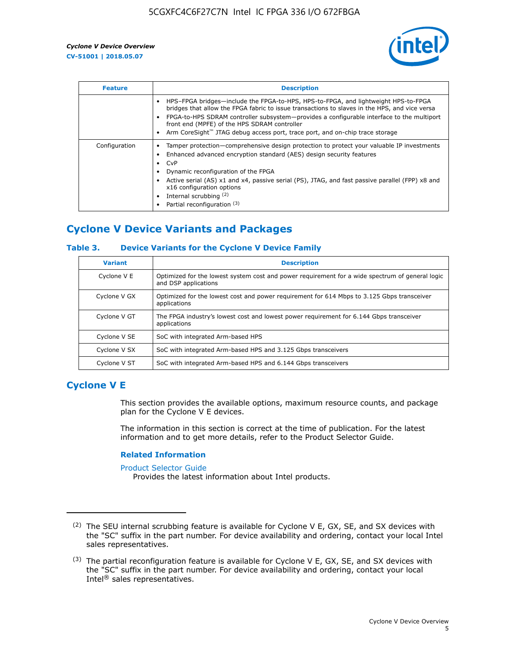

| <b>Feature</b> | <b>Description</b>                                                                                                                                                                                                                                                                                                                                                                                                           |  |  |  |  |  |  |  |
|----------------|------------------------------------------------------------------------------------------------------------------------------------------------------------------------------------------------------------------------------------------------------------------------------------------------------------------------------------------------------------------------------------------------------------------------------|--|--|--|--|--|--|--|
|                | HPS-FPGA bridges—include the FPGA-to-HPS, HPS-to-FPGA, and lightweight HPS-to-FPGA<br>bridges that allow the FPGA fabric to issue transactions to slaves in the HPS, and vice versa<br>FPGA-to-HPS SDRAM controller subsystem-provides a configurable interface to the multiport<br>front end (MPFE) of the HPS SDRAM controller<br>Arm CoreSight <sup>™</sup> JTAG debug access port, trace port, and on-chip trace storage |  |  |  |  |  |  |  |
| Configuration  | Tamper protection—comprehensive design protection to protect your valuable IP investments<br>Enhanced advanced encryption standard (AES) design security features<br>CvP<br>Dynamic reconfiguration of the FPGA<br>Active serial (AS) x1 and x4, passive serial (PS), JTAG, and fast passive parallel (FPP) x8 and<br>x16 configuration options<br>Internal scrubbing (2)<br>Partial reconfiguration (3)                     |  |  |  |  |  |  |  |

## **Cyclone V Device Variants and Packages**

#### **Table 3. Device Variants for the Cyclone V Device Family**

| <b>Variant</b> | <b>Description</b>                                                                                                      |
|----------------|-------------------------------------------------------------------------------------------------------------------------|
| Cyclone V E    | Optimized for the lowest system cost and power requirement for a wide spectrum of general logic<br>and DSP applications |
| Cyclone V GX   | Optimized for the lowest cost and power requirement for 614 Mbps to 3.125 Gbps transceiver<br>applications              |
| Cyclone V GT   | The FPGA industry's lowest cost and lowest power requirement for 6.144 Gbps transceiver<br>applications                 |
| Cyclone V SE   | SoC with integrated Arm-based HPS                                                                                       |
| Cyclone V SX   | SoC with integrated Arm-based HPS and 3.125 Gbps transceivers                                                           |
| Cyclone V ST   | SoC with integrated Arm-based HPS and 6.144 Gbps transceivers                                                           |

## **Cyclone V E**

This section provides the available options, maximum resource counts, and package plan for the Cyclone V E devices.

The information in this section is correct at the time of publication. For the latest information and to get more details, refer to the Product Selector Guide.

#### **Related Information**

[Product Selector Guide](https://www.altera.com/products/product-selector-guide.html)

Provides the latest information about Intel products.

<sup>(2)</sup> The SEU internal scrubbing feature is available for Cyclone V E, GX, SE, and SX devices with the "SC" suffix in the part number. For device availability and ordering, contact your local Intel sales representatives.

 $(3)$  The partial reconfiguration feature is available for Cyclone V E, GX, SE, and SX devices with the "SC" suffix in the part number. For device availability and ordering, contact your local Intel® sales representatives.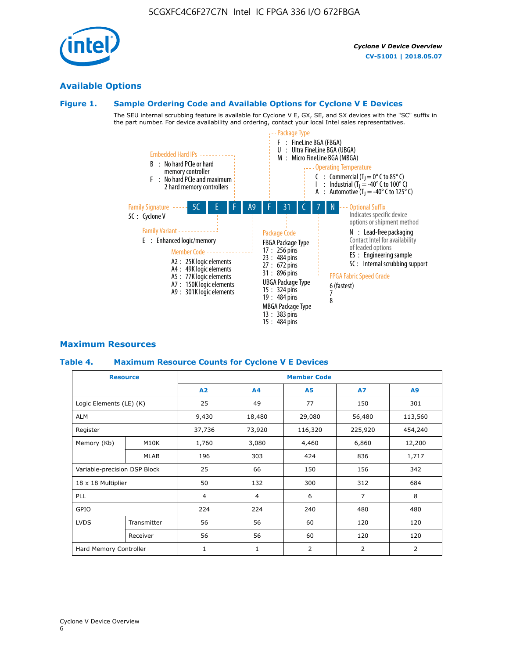## **Available Options**

#### **Figure 1. Sample Ordering Code and Available Options for Cyclone V E Devices**

The SEU internal scrubbing feature is available for Cyclone V E, GX, SE, and SX devices with the "SC" suffix in the part number. For device availability and ordering, contact your local Intel sales representatives.



## **Maximum Resources**

#### **Table 4. Maximum Resource Counts for Cyclone V E Devices**

|                              | <b>Resource</b> | <b>Member Code</b> |                |                |                |         |  |  |
|------------------------------|-----------------|--------------------|----------------|----------------|----------------|---------|--|--|
|                              |                 | A2                 | A4             | <b>A5</b>      | <b>A7</b>      | A9      |  |  |
| Logic Elements (LE) (K)      |                 | 25                 | 49             | 77             | 150            | 301     |  |  |
| <b>ALM</b>                   |                 | 9,430              | 18,480         | 29,080         | 56,480         | 113,560 |  |  |
| Register                     |                 | 37,736             | 73,920         | 116,320        | 225,920        | 454,240 |  |  |
| Memory (Kb)                  | M10K            | 1,760              | 3,080          | 4,460          | 6,860          | 12,200  |  |  |
|                              | <b>MLAB</b>     | 196                | 303            | 424            | 836            | 1,717   |  |  |
| Variable-precision DSP Block |                 | 25                 | 66             | 150            | 156            | 342     |  |  |
| 18 x 18 Multiplier           |                 | 50                 | 132            | 300            | 312            | 684     |  |  |
| PLL                          |                 | $\overline{4}$     | $\overline{4}$ | 6              | $\overline{7}$ | 8       |  |  |
| GPIO                         |                 | 224                | 224            | 240            | 480            | 480     |  |  |
| <b>LVDS</b>                  | Transmitter     | 56                 | 56             | 60             | 120            | 120     |  |  |
|                              | Receiver        | 56                 | 56             | 60             | 120            | 120     |  |  |
| Hard Memory Controller       |                 | $\mathbf{1}$       | $\mathbf{1}$   | $\overline{2}$ | 2              | 2       |  |  |

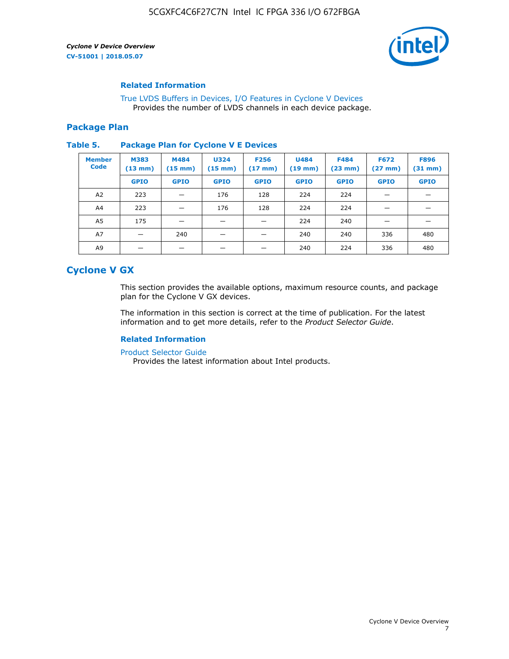

#### **Related Information**

[True LVDS Buffers in Devices, I/O Features in Cyclone V Devices](https://www.altera.com/documentation/sam1403481100977.html#sam1403480885395) Provides the number of LVDS channels in each device package.

#### **Package Plan**

#### **Table 5. Package Plan for Cyclone V E Devices**

| <b>Member</b><br><b>Code</b> | <b>M383</b><br>$(13 \text{ mm})$ | M484<br>$(15 \text{ mm})$ | <b>U324</b><br>$(15 \text{ mm})$ | <b>F256</b><br>$(17 \text{ mm})$ | <b>U484</b><br>$(19$ mm) | <b>F484</b><br>$(23$ mm $)$ | <b>F672</b><br>$(27 \text{ mm})$ | <b>F896</b><br>$(31$ mm $)$ |
|------------------------------|----------------------------------|---------------------------|----------------------------------|----------------------------------|--------------------------|-----------------------------|----------------------------------|-----------------------------|
|                              | <b>GPIO</b>                      | <b>GPIO</b>               | <b>GPIO</b>                      | <b>GPIO</b>                      | <b>GPIO</b>              | <b>GPIO</b>                 | <b>GPIO</b>                      | <b>GPIO</b>                 |
| A <sub>2</sub>               | 223                              |                           | 176                              | 128                              | 224                      | 224                         |                                  |                             |
| A4                           | 223                              |                           | 176                              | 128                              | 224                      | 224                         | –                                |                             |
| A <sub>5</sub>               | 175                              |                           |                                  |                                  | 224                      | 240                         |                                  |                             |
| A7                           |                                  | 240                       |                                  |                                  | 240                      | 240                         | 336                              | 480                         |
| A9                           |                                  |                           |                                  |                                  | 240                      | 224                         | 336                              | 480                         |

## **Cyclone V GX**

This section provides the available options, maximum resource counts, and package plan for the Cyclone V GX devices.

The information in this section is correct at the time of publication. For the latest information and to get more details, refer to the *Product Selector Guide*.

#### **Related Information**

[Product Selector Guide](https://www.altera.com/products/product-selector-guide.html)

Provides the latest information about Intel products.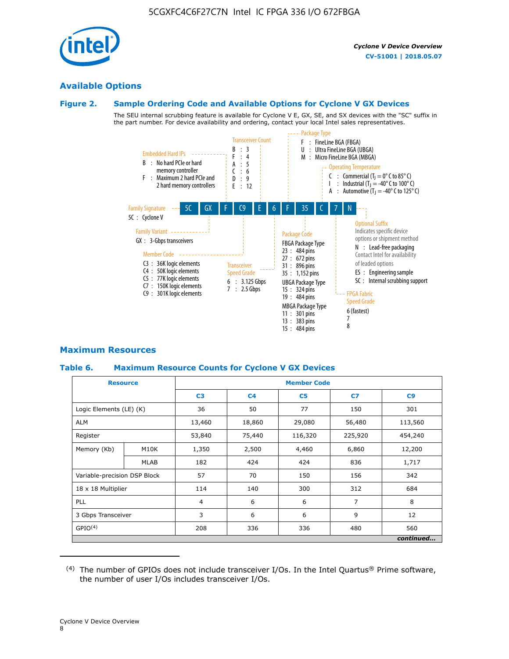

#### **Available Options**

#### **Figure 2. Sample Ordering Code and Available Options for Cyclone V GX Devices**

The SEU internal scrubbing feature is available for Cyclone V E, GX, SE, and SX devices with the "SC" suffix in the part number. For device availability and ordering, contact your local Intel sales representatives.



#### **Maximum Resources**

#### **Table 6. Maximum Resource Counts for Cyclone V GX Devices**

| <b>Resource</b>              |             | <b>Member Code</b> |                |                |                |           |  |  |
|------------------------------|-------------|--------------------|----------------|----------------|----------------|-----------|--|--|
|                              |             | C <sub>3</sub>     | C <sub>4</sub> | C <sub>5</sub> | C7             | C9        |  |  |
| Logic Elements (LE) (K)      |             | 36                 | 50             | 77             | 150            | 301       |  |  |
| <b>ALM</b>                   |             | 13,460             | 18,860         | 29,080         | 56,480         | 113,560   |  |  |
| Register                     |             |                    | 75,440         | 116,320        | 225,920        | 454,240   |  |  |
| Memory (Kb)                  | M10K        | 1,350              | 2,500          | 4,460          | 6,860          | 12,200    |  |  |
|                              | <b>MLAB</b> | 182                | 424            | 424            | 836            | 1,717     |  |  |
| Variable-precision DSP Block |             | 57                 | 70             | 150            | 156            | 342       |  |  |
| 18 x 18 Multiplier           |             | 114                | 140            | 300            | 312            | 684       |  |  |
| PLL                          |             |                    | 6              | 6              | $\overline{7}$ | 8         |  |  |
| 3 Gbps Transceiver           |             | 3                  | 6              | 6              | 9              | 12        |  |  |
| GPIO <sup>(4)</sup>          |             | 208                | 336            | 336            | 480            | 560       |  |  |
|                              |             |                    |                |                |                | continued |  |  |

 $(4)$  The number of GPIOs does not include transceiver I/Os. In the Intel Quartus® Prime software, the number of user I/Os includes transceiver I/Os.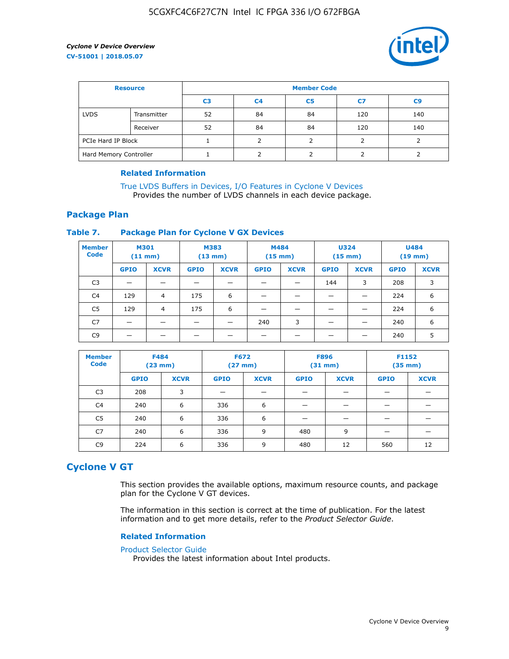

| <b>Resource</b>        |             | <b>Member Code</b> |                |                |     |                |  |  |
|------------------------|-------------|--------------------|----------------|----------------|-----|----------------|--|--|
|                        |             | C <sub>3</sub>     | C <sub>4</sub> | C <sub>5</sub> | C7  | C <sub>9</sub> |  |  |
| <b>LVDS</b>            | Transmitter | 52                 | 84             | 84             | 120 | 140            |  |  |
|                        | Receiver    | 52                 | 84             | 84             | 120 | 140            |  |  |
| PCIe Hard IP Block     |             |                    |                |                |     |                |  |  |
| Hard Memory Controller |             |                    | h              |                |     |                |  |  |

#### **Related Information**

[True LVDS Buffers in Devices, I/O Features in Cyclone V Devices](https://www.altera.com/documentation/sam1403481100977.html#sam1403480885395) Provides the number of LVDS channels in each device package.

#### **Package Plan**

#### **Table 7. Package Plan for Cyclone V GX Devices**

| <b>Member</b><br><b>Code</b> | <b>M301</b><br>$(11$ mm) |                | <b>M383</b><br>$(13 \text{ mm})$ |             | M484<br>$(15 \text{ mm})$ |             | <b>U324</b><br>$(15 \text{ mm})$ |             | <b>U484</b><br>$(19$ mm) |             |
|------------------------------|--------------------------|----------------|----------------------------------|-------------|---------------------------|-------------|----------------------------------|-------------|--------------------------|-------------|
|                              | <b>GPIO</b>              | <b>XCVR</b>    | <b>GPIO</b>                      | <b>XCVR</b> | <b>GPIO</b>               | <b>XCVR</b> | <b>GPIO</b>                      | <b>XCVR</b> | <b>GPIO</b>              | <b>XCVR</b> |
| C <sub>3</sub>               |                          |                |                                  |             |                           |             | 144                              | 3           | 208                      | 3           |
| C <sub>4</sub>               | 129                      | $\overline{4}$ | 175                              | 6           |                           |             | –                                |             | 224                      | 6           |
| C5                           | 129                      | 4              | 175                              | 6           |                           |             |                                  |             | 224                      | 6           |
| C7                           | _                        |                |                                  |             | 240                       | 3           |                                  |             | 240                      | 6           |
| C9                           |                          |                |                                  |             |                           |             |                                  |             | 240                      | 5           |

| <b>Member</b><br><b>Code</b> | <b>F484</b> | $(23$ mm)   | <b>F672</b> | $(27 \text{ mm})$ | <b>F896</b><br>$(31 \text{ mm})$ |             | F1152<br>$(35 \text{ mm})$ |             |
|------------------------------|-------------|-------------|-------------|-------------------|----------------------------------|-------------|----------------------------|-------------|
|                              | <b>GPIO</b> | <b>XCVR</b> | <b>GPIO</b> | <b>XCVR</b>       | <b>GPIO</b>                      | <b>XCVR</b> | <b>GPIO</b>                | <b>XCVR</b> |
| C <sub>3</sub>               | 208         | 3           |             |                   |                                  |             |                            |             |
| C4                           | 240         | 6           | 336         | 6                 |                                  |             |                            |             |
| C5                           | 240         | 6           | 336         | 6                 |                                  |             |                            |             |
| C <sub>7</sub>               | 240         | 6           | 336         | 9                 | 480                              | 9           |                            |             |
| C9                           | 224         | 6           | 336         | 9                 | 480                              | 12          | 560                        | 12          |

## **Cyclone V GT**

This section provides the available options, maximum resource counts, and package plan for the Cyclone V GT devices.

The information in this section is correct at the time of publication. For the latest information and to get more details, refer to the *Product Selector Guide*.

#### **Related Information**

#### [Product Selector Guide](https://www.altera.com/products/product-selector-guide.html)

Provides the latest information about Intel products.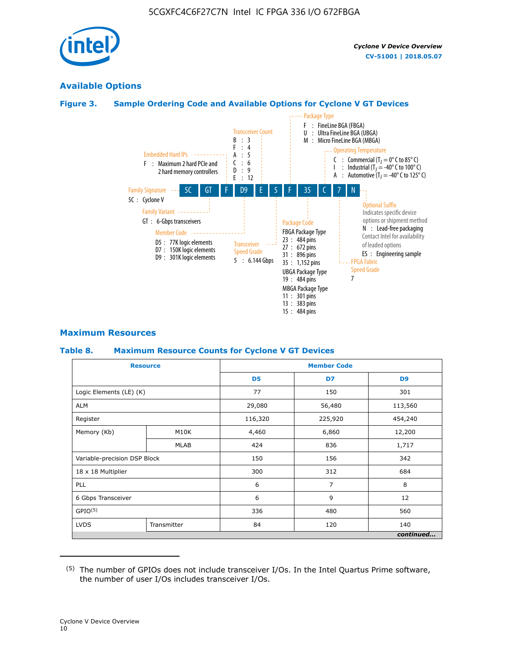

## **Available Options**

#### **Figure 3. Sample Ordering Code and Available Options for Cyclone V GT Devices**



#### **Maximum Resources**

#### **Table 8. Maximum Resource Counts for Cyclone V GT Devices**

|                              | <b>Resource</b> | <b>Member Code</b> |         |                |  |  |  |
|------------------------------|-----------------|--------------------|---------|----------------|--|--|--|
|                              |                 | D <sub>5</sub>     | D7      | D <sub>9</sub> |  |  |  |
| Logic Elements (LE) (K)      |                 | 77                 | 150     | 301            |  |  |  |
| <b>ALM</b>                   |                 | 29,080             | 56,480  | 113,560        |  |  |  |
| Register                     |                 | 116,320            | 225,920 | 454,240        |  |  |  |
| Memory (Kb)                  | M10K            | 4,460              | 6,860   | 12,200         |  |  |  |
|                              | <b>MLAB</b>     | 424                | 836     | 1,717          |  |  |  |
| Variable-precision DSP Block |                 | 150                | 156     | 342            |  |  |  |
| 18 x 18 Multiplier           |                 | 300                | 312     | 684            |  |  |  |
| PLL                          |                 | 6                  | 7       | 8              |  |  |  |
| 6 Gbps Transceiver           |                 | 6                  | 9       | 12             |  |  |  |
| GPIO <sup>(5)</sup>          |                 | 336                | 480     | 560            |  |  |  |
| <b>LVDS</b>                  | Transmitter     | 84                 | 120     | 140            |  |  |  |
|                              |                 |                    |         | continued      |  |  |  |

<sup>(5)</sup> The number of GPIOs does not include transceiver I/Os. In the Intel Quartus Prime software, the number of user I/Os includes transceiver I/Os.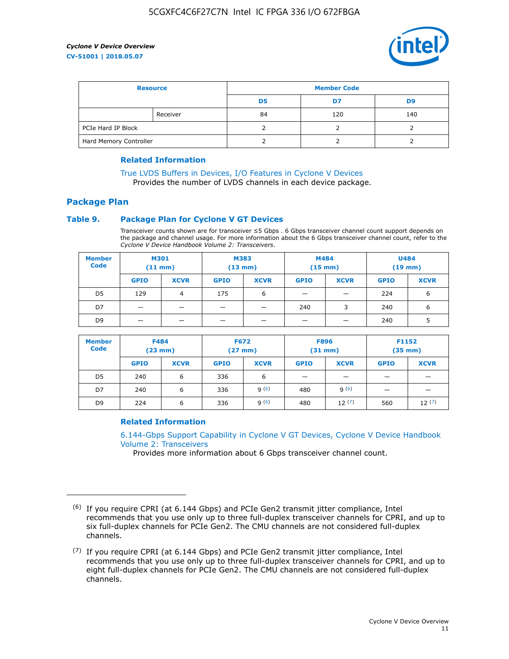

| <b>Resource</b>        |          | <b>Member Code</b> |     |     |  |  |
|------------------------|----------|--------------------|-----|-----|--|--|
|                        |          | D5                 | D7  | D9  |  |  |
|                        | Receiver | 84                 | 120 | 140 |  |  |
| PCIe Hard IP Block     |          |                    |     |     |  |  |
| Hard Memory Controller |          |                    |     |     |  |  |

#### **Related Information**

[True LVDS Buffers in Devices, I/O Features in Cyclone V Devices](https://www.altera.com/documentation/sam1403481100977.html#sam1403480885395) Provides the number of LVDS channels in each device package.

## **Package Plan**

#### **Table 9. Package Plan for Cyclone V GT Devices**

Transceiver counts shown are for transceiver ≤5 Gbps . 6 Gbps transceiver channel count support depends on the package and channel usage. For more information about the 6 Gbps transceiver channel count, refer to the *Cyclone V Device Handbook Volume 2: Transceivers*.

| <b>Member</b><br><b>Code</b> | <b>M301</b><br>$(11$ mm) |             | M383<br>$(13 \text{ mm})$ |             | M484<br>(15 mm)          |                          | <b>U484</b><br>$(19$ mm) |             |
|------------------------------|--------------------------|-------------|---------------------------|-------------|--------------------------|--------------------------|--------------------------|-------------|
|                              | <b>GPIO</b>              | <b>XCVR</b> | <b>GPIO</b>               | <b>XCVR</b> | <b>GPIO</b>              | <b>XCVR</b>              | <b>GPIO</b>              | <b>XCVR</b> |
| D <sub>5</sub>               | 129                      | 4           | 175                       | 6           | $\overline{\phantom{0}}$ | $\overline{\phantom{0}}$ | 224                      | 6           |
| D7                           | -                        |             |                           | _           | 240                      | 3                        | 240                      | 6           |
| D <sub>9</sub>               | -                        |             |                           | _           | _                        | –                        | 240                      | 5           |

| <b>Member</b><br><b>Code</b> | <b>F484</b><br>$(23$ mm) |             | <b>F672</b><br>$(27 \text{ mm})$ |             | <b>F896</b><br>$(31$ mm $)$ |             | F1152<br>$(35$ mm $)$ |             |
|------------------------------|--------------------------|-------------|----------------------------------|-------------|-----------------------------|-------------|-----------------------|-------------|
|                              | <b>GPIO</b>              | <b>XCVR</b> | <b>GPIO</b>                      | <b>XCVR</b> | <b>GPIO</b>                 | <b>XCVR</b> | <b>GPIO</b>           | <b>XCVR</b> |
| D <sub>5</sub>               | 240                      | 6           | 336                              | 6           | -                           |             |                       |             |
| D7                           | 240                      | 6           | 336                              | q(6)        | 480                         | q(6)        | -                     | _           |
| D <sub>9</sub>               | 224                      | 6           | 336                              | q(6)        | 480                         | 12(7)       | 560                   | 12(7)       |

#### **Related Information**

[6.144-Gbps Support Capability in Cyclone V GT Devices, Cyclone V Device Handbook](https://www.altera.com/documentation/nik1409855456781.html#nik1409855410757) [Volume 2: Transceivers](https://www.altera.com/documentation/nik1409855456781.html#nik1409855410757)

Provides more information about 6 Gbps transceiver channel count.

<sup>(6)</sup> If you require CPRI (at 6.144 Gbps) and PCIe Gen2 transmit jitter compliance, Intel recommends that you use only up to three full-duplex transceiver channels for CPRI, and up to six full-duplex channels for PCIe Gen2. The CMU channels are not considered full-duplex channels.

 $(7)$  If you require CPRI (at 6.144 Gbps) and PCIe Gen2 transmit jitter compliance, Intel recommends that you use only up to three full-duplex transceiver channels for CPRI, and up to eight full-duplex channels for PCIe Gen2. The CMU channels are not considered full-duplex channels.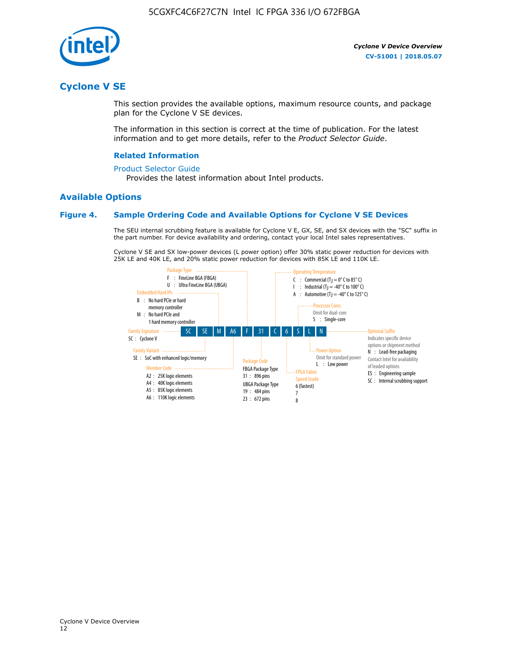

## **Cyclone V SE**

This section provides the available options, maximum resource counts, and package plan for the Cyclone V SE devices.

The information in this section is correct at the time of publication. For the latest information and to get more details, refer to the *Product Selector Guide*.

#### **Related Information**

#### [Product Selector Guide](https://www.altera.com/products/product-selector-guide.html)

Provides the latest information about Intel products.

#### **Available Options**

#### **Figure 4. Sample Ordering Code and Available Options for Cyclone V SE Devices**

The SEU internal scrubbing feature is available for Cyclone V E, GX, SE, and SX devices with the "SC" suffix in the part number. For device availability and ordering, contact your local Intel sales representatives.

Cyclone V SE and SX low-power devices (L power option) offer 30% static power reduction for devices with 25K LE and 40K LE, and 20% static power reduction for devices with 85K LE and 110K LE.

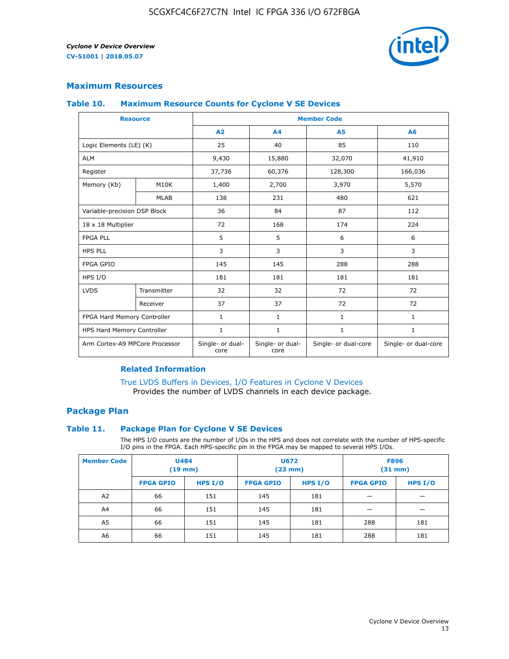

#### **Maximum Resources**

#### **Table 10. Maximum Resource Counts for Cyclone V SE Devices**

|                                | <b>Resource</b> | <b>Member Code</b>       |                          |                      |                      |  |
|--------------------------------|-----------------|--------------------------|--------------------------|----------------------|----------------------|--|
|                                |                 | A2                       | A4                       | <b>A5</b>            | A6                   |  |
| Logic Elements (LE) (K)        |                 | 25                       | 40                       | 85                   | 110                  |  |
| <b>ALM</b>                     |                 | 9,430                    | 15,880                   | 32,070               | 41,910               |  |
| Register                       |                 | 37,736                   | 60,376                   | 128,300              | 166,036              |  |
| Memory (Kb)                    | M10K            | 1,400                    | 2,700                    | 3,970                | 5,570                |  |
|                                | <b>MLAB</b>     | 138                      | 231                      | 480                  | 621                  |  |
| Variable-precision DSP Block   |                 | 36                       | 84                       | 87                   | 112                  |  |
| 18 x 18 Multiplier             |                 | 72                       | 168                      | 174                  | 224                  |  |
| <b>FPGA PLL</b>                |                 | 5                        | 5                        | 6                    | 6                    |  |
| <b>HPS PLL</b>                 |                 | 3                        | 3                        | 3                    | 3                    |  |
| <b>FPGA GPIO</b>               |                 | 145                      | 145                      | 288                  | 288                  |  |
| HPS I/O                        |                 | 181                      | 181                      | 181                  | 181                  |  |
| <b>LVDS</b>                    | Transmitter     | 32                       | 32                       | 72                   | 72                   |  |
|                                | Receiver        | 37                       | 37                       | 72                   | 72                   |  |
| FPGA Hard Memory Controller    |                 | 1                        | $\mathbf{1}$             | $\mathbf{1}$         | $\mathbf{1}$         |  |
| HPS Hard Memory Controller     |                 | $\mathbf{1}$             | $\mathbf{1}$             | $\mathbf{1}$         | $\mathbf{1}$         |  |
| Arm Cortex-A9 MPCore Processor |                 | Single- or dual-<br>core | Single- or dual-<br>core | Single- or dual-core | Single- or dual-core |  |

#### **Related Information**

[True LVDS Buffers in Devices, I/O Features in Cyclone V Devices](https://www.altera.com/documentation/sam1403481100977.html#sam1403480885395) Provides the number of LVDS channels in each device package.

#### **Package Plan**

#### **Table 11. Package Plan for Cyclone V SE Devices**

The HPS I/O counts are the number of I/Os in the HPS and does not correlate with the number of HPS-specific I/O pins in the FPGA. Each HPS-specific pin in the FPGA may be mapped to several HPS I/Os.

| <b>Member Code</b> | <b>U484</b><br>$(19$ mm) |           | <b>U672</b><br>(23 mm) |           | <b>F896</b><br>$(31$ mm $)$ |           |
|--------------------|--------------------------|-----------|------------------------|-----------|-----------------------------|-----------|
|                    | <b>FPGA GPIO</b>         | HPS $I/O$ | <b>FPGA GPIO</b>       | HPS $I/O$ | <b>FPGA GPIO</b>            | HPS $I/O$ |
| A <sub>2</sub>     | 66                       | 151       | 145                    | 181       |                             |           |
| A4                 | 66                       | 151       | 145                    | 181       |                             |           |
| A <sub>5</sub>     | 66                       | 151       | 145                    | 181       | 288                         | 181       |
| A6                 | 66                       | 151       | 145                    | 181       | 288                         | 181       |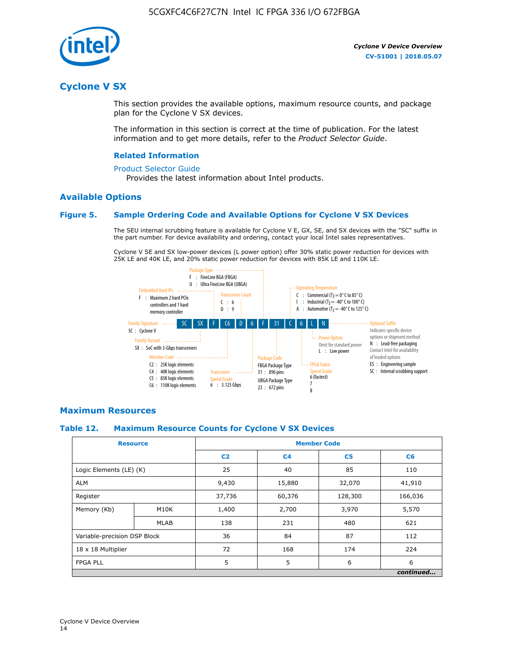

## **Cyclone V SX**

This section provides the available options, maximum resource counts, and package plan for the Cyclone V SX devices.

The information in this section is correct at the time of publication. For the latest information and to get more details, refer to the *Product Selector Guide*.

#### **Related Information**

#### [Product Selector Guide](https://www.altera.com/products/product-selector-guide.html)

Provides the latest information about Intel products.

#### **Available Options**

#### **Figure 5. Sample Ordering Code and Available Options for Cyclone V SX Devices**

The SEU internal scrubbing feature is available for Cyclone V E, GX, SE, and SX devices with the "SC" suffix in the part number. For device availability and ordering, contact your local Intel sales representatives.

Cyclone V SE and SX low-power devices (L power option) offer 30% static power reduction for devices with 25K LE and 40K LE, and 20% static power reduction for devices with 85K LE and 110K LE.



#### **Maximum Resources**

#### **Table 12. Maximum Resource Counts for Cyclone V SX Devices**

|                              | <b>Resource</b> | <b>Member Code</b> |                |                |           |  |
|------------------------------|-----------------|--------------------|----------------|----------------|-----------|--|
|                              |                 | C <sub>2</sub>     | C <sub>4</sub> | C <sub>5</sub> | C6        |  |
| Logic Elements (LE) (K)      |                 | 25                 | 40             | 85             | 110       |  |
| <b>ALM</b>                   |                 | 9,430              | 15,880         | 32,070         | 41,910    |  |
| Register                     |                 | 37,736             | 60,376         | 128,300        | 166,036   |  |
| Memory (Kb)                  | M10K            | 1,400              | 2,700          | 3,970          | 5,570     |  |
|                              | <b>MLAB</b>     | 138                | 231            | 480            | 621       |  |
| Variable-precision DSP Block |                 | 36                 | 84             | 87             | 112       |  |
| 18 x 18 Multiplier           |                 | 72                 | 168            | 174            | 224       |  |
| <b>FPGA PLL</b>              |                 | 5                  | 5              | 6              | 6         |  |
|                              |                 |                    |                |                | continued |  |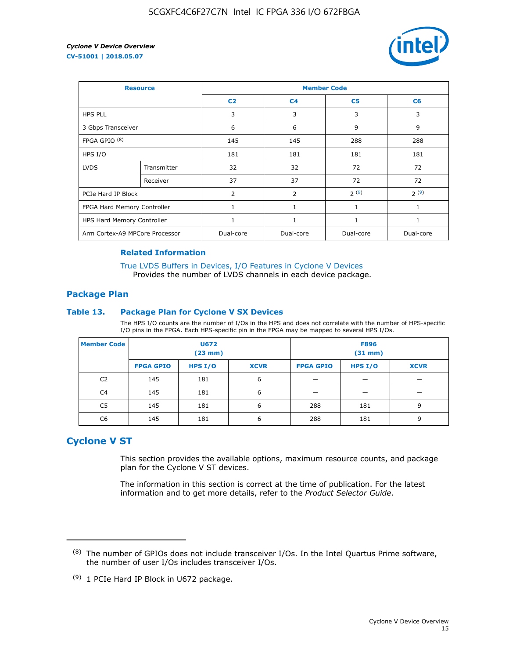

| <b>Resource</b>                |             | <b>Member Code</b> |                |                |              |  |  |
|--------------------------------|-------------|--------------------|----------------|----------------|--------------|--|--|
|                                |             | C <sub>2</sub>     | C <sub>4</sub> | C <sub>5</sub> | C6           |  |  |
| <b>HPS PLL</b>                 |             | 3                  | 3              | 3              | 3            |  |  |
| 3 Gbps Transceiver             |             | 6                  | 6              | 9              | 9            |  |  |
| FPGA GPIO $(8)$                |             | 145                | 145            | 288            | 288          |  |  |
| HPS I/O                        |             | 181                | 181            | 181            | 181          |  |  |
| <b>LVDS</b>                    | Transmitter | 32                 | 32             | 72             | 72           |  |  |
|                                | Receiver    | 37                 | 37             | 72             | 72           |  |  |
| PCIe Hard IP Block             |             | $\overline{2}$     | 2              | 2(9)           | 2(9)         |  |  |
| FPGA Hard Memory Controller    |             | 1                  | $\mathbf{1}$   | $\mathbf{1}$   | $\mathbf{1}$ |  |  |
| HPS Hard Memory Controller     |             | 1                  | $\mathbf{1}$   | 1              | 1            |  |  |
| Arm Cortex-A9 MPCore Processor |             | Dual-core          | Dual-core      | Dual-core      | Dual-core    |  |  |

#### **Related Information**

[True LVDS Buffers in Devices, I/O Features in Cyclone V Devices](https://www.altera.com/documentation/sam1403481100977.html#sam1403480885395) Provides the number of LVDS channels in each device package.

#### **Package Plan**

#### **Table 13. Package Plan for Cyclone V SX Devices**

The HPS I/O counts are the number of I/Os in the HPS and does not correlate with the number of HPS-specific I/O pins in the FPGA. Each HPS-specific pin in the FPGA may be mapped to several HPS I/Os.

| <b>Member Code</b> | U672<br>(23 mm)  |           | <b>F896</b><br>$(31$ mm $)$ |                  |           |             |
|--------------------|------------------|-----------|-----------------------------|------------------|-----------|-------------|
|                    | <b>FPGA GPIO</b> | HPS $I/O$ | <b>XCVR</b>                 | <b>FPGA GPIO</b> | HPS $I/O$ | <b>XCVR</b> |
| C <sub>2</sub>     | 145              | 181       | 6                           |                  |           |             |
| C <sub>4</sub>     | 145              | 181       | 6                           |                  |           |             |
| C5                 | 145              | 181       | 6                           | 288              | 181       | 9           |
| C6                 | 145              | 181       | 6                           | 288              | 181       | 9           |

## **Cyclone V ST**

This section provides the available options, maximum resource counts, and package plan for the Cyclone V ST devices.

The information in this section is correct at the time of publication. For the latest information and to get more details, refer to the *Product Selector Guide*.

 $(8)$  The number of GPIOs does not include transceiver I/Os. In the Intel Quartus Prime software, the number of user I/Os includes transceiver I/Os.

<sup>(9)</sup> 1 PCIe Hard IP Block in U672 package.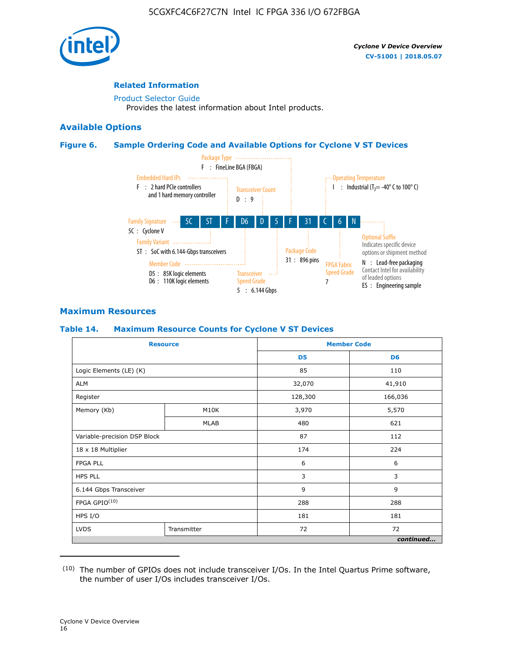

#### **Related Information**

[Product Selector Guide](https://www.altera.com/products/product-selector-guide.html) Provides the latest information about Intel products.

#### **Available Options**

#### **Figure 6. Sample Ordering Code and Available Options for Cyclone V ST Devices**



#### **Maximum Resources**

#### **Table 14. Maximum Resource Counts for Cyclone V ST Devices**

| <b>Resource</b>              |             |                | <b>Member Code</b> |
|------------------------------|-------------|----------------|--------------------|
|                              |             | D <sub>5</sub> | D <sub>6</sub>     |
| Logic Elements (LE) (K)      |             | 85             | 110                |
| <b>ALM</b>                   |             | 32,070         | 41,910             |
| Register                     |             | 128,300        | 166,036            |
| Memory (Kb)                  | M10K        | 3,970          | 5,570              |
|                              | <b>MLAB</b> | 480            | 621                |
| Variable-precision DSP Block |             | 87             | 112                |
| 18 x 18 Multiplier           |             | 174            | 224                |
| <b>FPGA PLL</b>              |             | 6              | 6                  |
| <b>HPS PLL</b>               |             | 3              | 3                  |
| 6.144 Gbps Transceiver       |             | 9              | 9                  |
| FPGA GPIO(10)                |             | 288            | 288                |
| HPS I/O                      |             | 181            | 181                |
| <b>LVDS</b>                  | Transmitter |                | 72                 |
|                              |             |                | continued          |

<sup>(10)</sup> The number of GPIOs does not include transceiver I/Os. In the Intel Quartus Prime software, the number of user I/Os includes transceiver I/Os.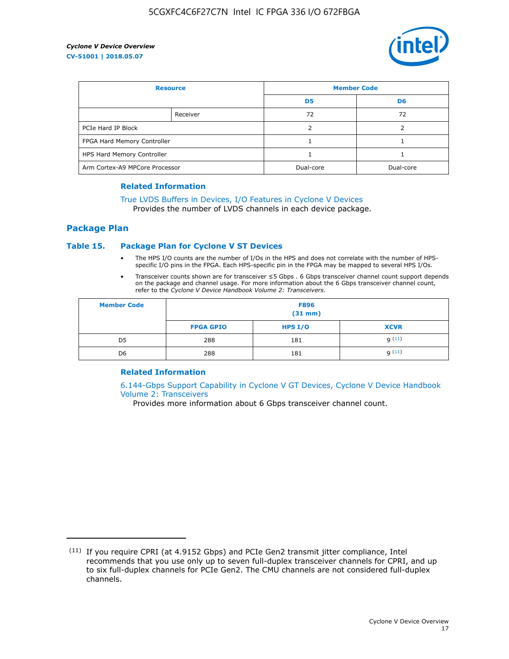

| <b>Resource</b>                |          | <b>Member Code</b> |                |  |
|--------------------------------|----------|--------------------|----------------|--|
|                                |          | D <sub>5</sub>     | D <sub>6</sub> |  |
|                                | Receiver | 72                 | 72             |  |
| PCIe Hard IP Block             |          |                    |                |  |
| FPGA Hard Memory Controller    |          |                    |                |  |
| HPS Hard Memory Controller     |          |                    |                |  |
| Arm Cortex-A9 MPCore Processor |          | Dual-core          | Dual-core      |  |

#### **Related Information**

## [True LVDS Buffers in Devices, I/O Features in Cyclone V Devices](https://www.altera.com/documentation/sam1403481100977.html#sam1403480885395)

Provides the number of LVDS channels in each device package.

#### **Package Plan**

#### **Table 15. Package Plan for Cyclone V ST Devices**

- The HPS I/O counts are the number of I/Os in the HPS and does not correlate with the number of HPSspecific I/O pins in the FPGA. Each HPS-specific pin in the FPGA may be mapped to several HPS I/Os.
- Transceiver counts shown are for transceiver ≤5 Gbps . 6 Gbps transceiver channel count support depends on the package and channel usage. For more information about the 6 Gbps transceiver channel count, refer to the *Cyclone V Device Handbook Volume 2: Transceivers*.

| <b>Member Code</b> | <b>F896</b><br>$(31$ mm $)$ |           |             |  |  |
|--------------------|-----------------------------|-----------|-------------|--|--|
|                    | <b>FPGA GPIO</b>            | HPS $I/O$ | <b>XCVR</b> |  |  |
| D <sub>5</sub>     | 288                         | 181       | 9(11)       |  |  |
| D <sub>6</sub>     | 288                         | 181       | q(11)       |  |  |

#### **Related Information**

[6.144-Gbps Support Capability in Cyclone V GT Devices, Cyclone V Device Handbook](https://www.altera.com/documentation/nik1409855456781.html#nik1409855410757) [Volume 2: Transceivers](https://www.altera.com/documentation/nik1409855456781.html#nik1409855410757)

Provides more information about 6 Gbps transceiver channel count.

<sup>(11)</sup> If you require CPRI (at 4.9152 Gbps) and PCIe Gen2 transmit jitter compliance, Intel recommends that you use only up to seven full-duplex transceiver channels for CPRI, and up to six full-duplex channels for PCIe Gen2. The CMU channels are not considered full-duplex channels.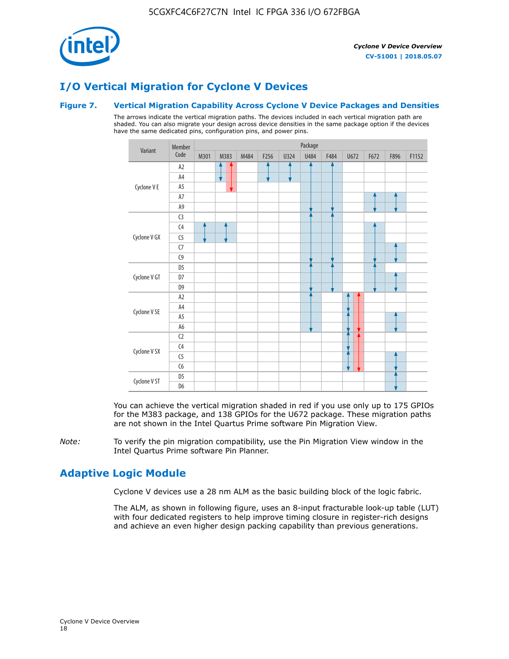

## **I/O Vertical Migration for Cyclone V Devices**

#### **Figure 7. Vertical Migration Capability Across Cyclone V Device Packages and Densities**

The arrows indicate the vertical migration paths. The devices included in each vertical migration path are shaded. You can also migrate your design across device densities in the same package option if the devices have the same dedicated pins, configuration pins, and power pins.



You can achieve the vertical migration shaded in red if you use only up to 175 GPIOs for the M383 package, and 138 GPIOs for the U672 package. These migration paths are not shown in the Intel Quartus Prime software Pin Migration View.

*Note:* To verify the pin migration compatibility, use the Pin Migration View window in the Intel Quartus Prime software Pin Planner.

## **Adaptive Logic Module**

Cyclone V devices use a 28 nm ALM as the basic building block of the logic fabric.

The ALM, as shown in following figure, uses an 8-input fracturable look-up table (LUT) with four dedicated registers to help improve timing closure in register-rich designs and achieve an even higher design packing capability than previous generations.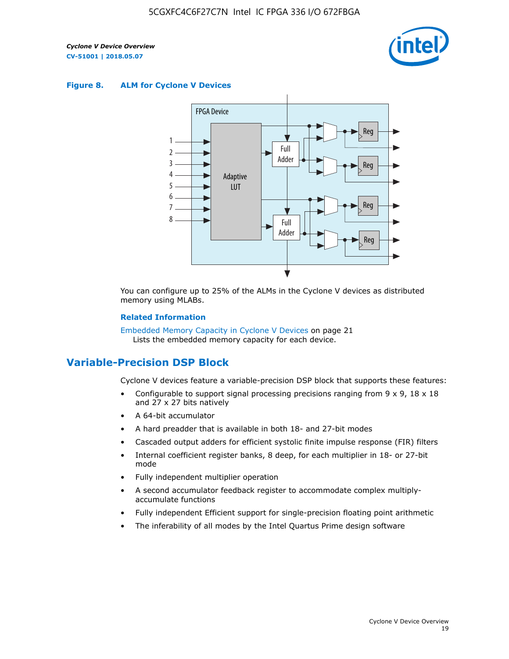

#### **Figure 8. ALM for Cyclone V Devices**



You can configure up to 25% of the ALMs in the Cyclone V devices as distributed memory using MLABs.

#### **Related Information**

Embedded Memory Capacity in Cyclone V Devices on page 21 Lists the embedded memory capacity for each device.

## **Variable-Precision DSP Block**

Cyclone V devices feature a variable-precision DSP block that supports these features:

- Configurable to support signal processing precisions ranging from  $9 \times 9$ ,  $18 \times 18$ and 27 x 27 bits natively
- A 64-bit accumulator
- A hard preadder that is available in both 18- and 27-bit modes
- Cascaded output adders for efficient systolic finite impulse response (FIR) filters
- Internal coefficient register banks, 8 deep, for each multiplier in 18- or 27-bit mode
- Fully independent multiplier operation
- A second accumulator feedback register to accommodate complex multiplyaccumulate functions
- Fully independent Efficient support for single-precision floating point arithmetic
- The inferability of all modes by the Intel Quartus Prime design software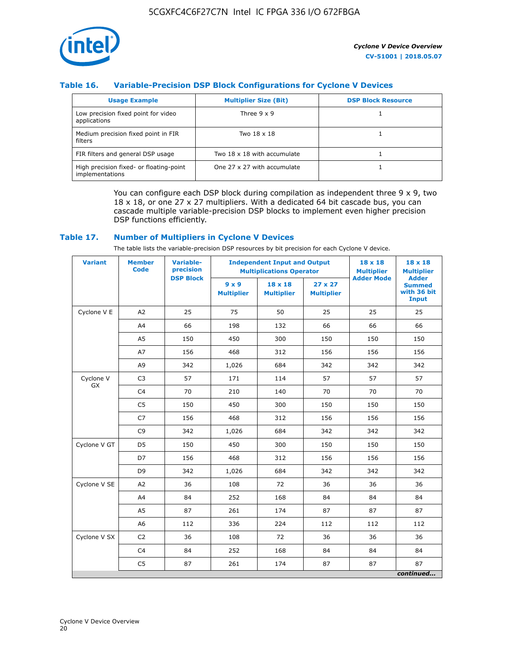

#### **Table 16. Variable-Precision DSP Block Configurations for Cyclone V Devices**

| <b>Usage Example</b>                                       | <b>Multiplier Size (Bit)</b> | <b>DSP Block Resource</b> |
|------------------------------------------------------------|------------------------------|---------------------------|
| Low precision fixed point for video<br>applications        | Three $9 \times 9$           |                           |
| Medium precision fixed point in FIR<br>filters             | Two 18 x 18                  |                           |
| FIR filters and general DSP usage                          | Two 18 x 18 with accumulate  |                           |
| High precision fixed- or floating-point<br>implementations | One 27 x 27 with accumulate  |                           |

You can configure each DSP block during compilation as independent three  $9 \times 9$ , two 18 x 18, or one 27 x 27 multipliers. With a dedicated 64 bit cascade bus, you can cascade multiple variable-precision DSP blocks to implement even higher precision DSP functions efficiently.

#### **Table 17. Number of Multipliers in Cyclone V Devices**

The table lists the variable-precision DSP resources by bit precision for each Cyclone V device.

| <b>Variant</b>  | <b>Member</b><br><b>Code</b> | <b>Variable-</b><br>precision |                                   | <b>Independent Input and Output</b><br><b>Multiplications Operator</b> | $18 \times 18$<br><b>Multiplier</b> | $18 \times 18$<br><b>Multiplier</b> |                                                              |
|-----------------|------------------------------|-------------------------------|-----------------------------------|------------------------------------------------------------------------|-------------------------------------|-------------------------------------|--------------------------------------------------------------|
|                 |                              | <b>DSP Block</b>              | $9 \times 9$<br><b>Multiplier</b> | $18 \times 18$<br><b>Multiplier</b>                                    | $27 \times 27$<br><b>Multiplier</b> | <b>Adder Mode</b>                   | <b>Adder</b><br><b>Summed</b><br>with 36 bit<br><b>Input</b> |
| Cyclone V E     | A <sub>2</sub>               | 25                            | 75                                | 50                                                                     | 25                                  | 25                                  | 25                                                           |
|                 | A4                           | 66                            | 198                               | 132                                                                    | 66                                  | 66                                  | 66                                                           |
|                 | A5                           | 150                           | 450                               | 300                                                                    | 150                                 | 150                                 | 150                                                          |
|                 | A7                           | 156                           | 468                               | 312                                                                    | 156                                 | 156                                 | 156                                                          |
|                 | A9                           | 342                           | 1,026                             | 684                                                                    | 342                                 | 342                                 | 342                                                          |
| Cyclone V<br>GX | C <sub>3</sub>               | 57                            | 171                               | 114                                                                    | 57                                  | 57                                  | 57                                                           |
|                 | C <sub>4</sub>               | 70                            | 210                               | 140                                                                    | 70                                  | 70                                  | 70                                                           |
|                 | C <sub>5</sub>               | 150                           | 450                               | 300                                                                    | 150                                 | 150                                 | 150                                                          |
|                 | C7                           | 156                           | 468                               | 312                                                                    | 156                                 | 156                                 | 156                                                          |
|                 | C <sub>9</sub>               | 342                           | 1,026                             | 684                                                                    | 342                                 | 342                                 | 342                                                          |
| Cyclone V GT    | D <sub>5</sub>               | 150                           | 450                               | 300                                                                    | 150                                 | 150                                 | 150                                                          |
|                 | D7                           | 156                           | 468                               | 312                                                                    | 156                                 | 156                                 | 156                                                          |
|                 | D <sub>9</sub>               | 342                           | 1,026                             | 684                                                                    | 342                                 | 342                                 | 342                                                          |
| Cyclone V SE    | A <sub>2</sub>               | 36                            | 108                               | 72                                                                     | 36                                  | 36                                  | 36                                                           |
|                 | A4                           | 84                            | 252                               | 168                                                                    | 84                                  | 84                                  | 84                                                           |
|                 | A5                           | 87                            | 261                               | 174                                                                    | 87                                  | 87                                  | 87                                                           |
|                 | A <sub>6</sub>               | 112                           | 336                               | 224                                                                    | 112                                 | 112                                 | 112                                                          |
| Cyclone V SX    | C <sub>2</sub>               | 36                            | 108                               | 72                                                                     | 36                                  | 36                                  | 36                                                           |
|                 | C <sub>4</sub>               | 84                            | 252                               | 168                                                                    | 84                                  | 84                                  | 84                                                           |
|                 | C <sub>5</sub>               | 87                            | 261                               | 174                                                                    | 87                                  | 87                                  | 87                                                           |
|                 |                              |                               |                                   |                                                                        |                                     |                                     | continued                                                    |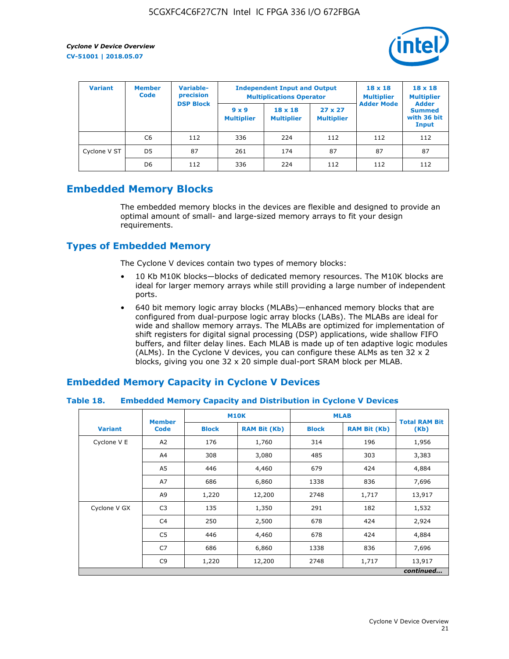

| <b>Variant</b> | <b>Variable-</b><br><b>Member</b><br>precision<br><b>Code</b> |                  | <b>Independent Input and Output</b><br><b>Multiplications Operator</b> | $18 \times 18$<br><b>Multiplier</b> | $18 \times 18$<br><b>Multiplier</b><br><b>Adder</b> |                   |                                       |
|----------------|---------------------------------------------------------------|------------------|------------------------------------------------------------------------|-------------------------------------|-----------------------------------------------------|-------------------|---------------------------------------|
|                |                                                               | <b>DSP Block</b> | $9 \times 9$<br><b>Multiplier</b>                                      | $18 \times 18$<br><b>Multiplier</b> | $27 \times 27$<br><b>Multiplier</b>                 | <b>Adder Mode</b> | <b>Summed</b><br>with 36 bit<br>Input |
|                | C6                                                            | 112              | 336                                                                    | 224                                 | 112                                                 | 112               | 112                                   |
| Cyclone V ST   | D <sub>5</sub>                                                | 87               | 261                                                                    | 174                                 | 87                                                  | 87                | 87                                    |
|                | D <sub>6</sub>                                                | 112              | 336                                                                    | 224                                 | 112                                                 | 112               | 112                                   |

## **Embedded Memory Blocks**

The embedded memory blocks in the devices are flexible and designed to provide an optimal amount of small- and large-sized memory arrays to fit your design requirements.

## **Types of Embedded Memory**

The Cyclone V devices contain two types of memory blocks:

- 10 Kb M10K blocks—blocks of dedicated memory resources. The M10K blocks are ideal for larger memory arrays while still providing a large number of independent ports.
- 640 bit memory logic array blocks (MLABs)—enhanced memory blocks that are configured from dual-purpose logic array blocks (LABs). The MLABs are ideal for wide and shallow memory arrays. The MLABs are optimized for implementation of shift registers for digital signal processing (DSP) applications, wide shallow FIFO buffers, and filter delay lines. Each MLAB is made up of ten adaptive logic modules (ALMs). In the Cyclone V devices, you can configure these ALMs as ten 32 x 2 blocks, giving you one 32 x 20 simple dual-port SRAM block per MLAB.

## **Embedded Memory Capacity in Cyclone V Devices**

#### **Table 18. Embedded Memory Capacity and Distribution in Cyclone V Devices**

|                | <b>Member</b>  | <b>M10K</b>  |                     | <b>MLAB</b>  | <b>Total RAM Bit</b> |           |
|----------------|----------------|--------------|---------------------|--------------|----------------------|-----------|
| <b>Variant</b> | <b>Code</b>    | <b>Block</b> | <b>RAM Bit (Kb)</b> | <b>Block</b> | <b>RAM Bit (Kb)</b>  | (Kb)      |
| Cyclone V E    | A2             | 176          | 1,760               | 314          | 196                  | 1,956     |
|                | A4             | 308          | 3,080               | 485          | 303                  | 3,383     |
|                | A5             | 446          | 4,460               | 679          | 424                  | 4,884     |
|                | A7             | 686          | 6,860               | 1338         | 836                  | 7,696     |
|                | A9             | 1,220        | 12,200              | 2748         | 1,717                | 13,917    |
| Cyclone V GX   | C <sub>3</sub> | 135          | 1,350               | 291          | 182                  | 1,532     |
|                | C4             | 250          | 2,500               | 678          | 424                  | 2,924     |
|                | C5             | 446          | 4,460               | 678          | 424                  | 4,884     |
|                | C7             | 686          | 6,860               | 1338         | 836                  | 7,696     |
|                | C <sub>9</sub> | 1,220        | 12,200              | 2748         | 1,717                | 13,917    |
|                |                |              |                     |              |                      | continued |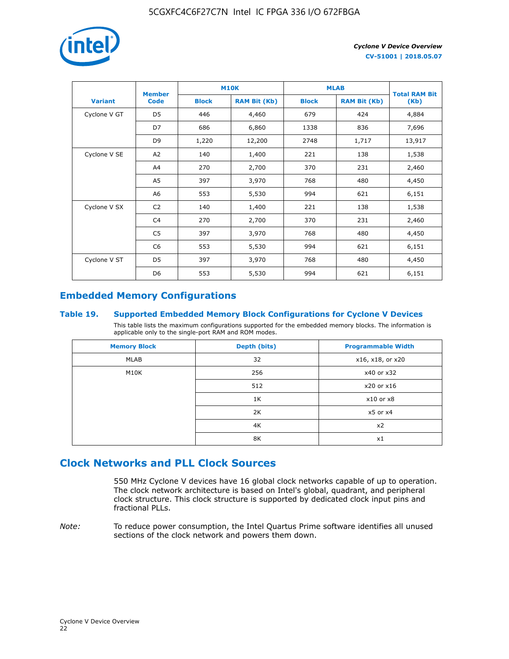

|                | <b>Member</b>  | <b>M10K</b>  |                     | <b>MLAB</b>  | <b>Total RAM Bit</b> |        |
|----------------|----------------|--------------|---------------------|--------------|----------------------|--------|
| <b>Variant</b> | <b>Code</b>    | <b>Block</b> | <b>RAM Bit (Kb)</b> | <b>Block</b> | <b>RAM Bit (Kb)</b>  | (Kb)   |
| Cyclone V GT   | D <sub>5</sub> | 446          | 4,460               | 679          | 424                  | 4,884  |
|                | D7             | 686          | 6,860               | 1338         | 836                  | 7,696  |
|                | D <sub>9</sub> | 1,220        | 12,200              | 2748         | 1,717                | 13,917 |
| Cyclone V SE   | A <sub>2</sub> | 140          | 1,400               | 221          | 138                  | 1,538  |
|                | A4             | 270          | 2,700               | 370          | 231                  | 2,460  |
|                | A5             | 397          | 3,970               | 768          | 480                  | 4,450  |
|                | A6             | 553          | 5,530               | 994          | 621                  | 6,151  |
| Cyclone V SX   | C <sub>2</sub> | 140          | 1,400               | 221          | 138                  | 1,538  |
|                | C4             | 270          | 2,700               | 370          | 231                  | 2,460  |
|                | C5             | 397          | 3,970               | 768          | 480                  | 4,450  |
|                | C <sub>6</sub> | 553          | 5,530               | 994          | 621                  | 6,151  |
| Cyclone V ST   | D <sub>5</sub> | 397          | 3,970               | 768          | 480                  | 4,450  |
|                | D <sub>6</sub> | 553          | 5,530               | 994          | 621                  | 6,151  |

## **Embedded Memory Configurations**

#### **Table 19. Supported Embedded Memory Block Configurations for Cyclone V Devices**

This table lists the maximum configurations supported for the embedded memory blocks. The information is applicable only to the single-port RAM and ROM modes.

| <b>Memory Block</b> | Depth (bits) | <b>Programmable Width</b> |
|---------------------|--------------|---------------------------|
| MLAB                | 32           | x16, x18, or x20          |
| M10K                | 256          | x40 or x32                |
|                     | 512          | x20 or x16                |
|                     | 1K           | $x10$ or $x8$             |
|                     | 2K           | $x5$ or $x4$              |
|                     | 4K           | x2                        |
|                     | 8K           | x1                        |

## **Clock Networks and PLL Clock Sources**

550 MHz Cyclone V devices have 16 global clock networks capable of up to operation. The clock network architecture is based on Intel's global, quadrant, and peripheral clock structure. This clock structure is supported by dedicated clock input pins and fractional PLLs.

*Note:* To reduce power consumption, the Intel Quartus Prime software identifies all unused sections of the clock network and powers them down.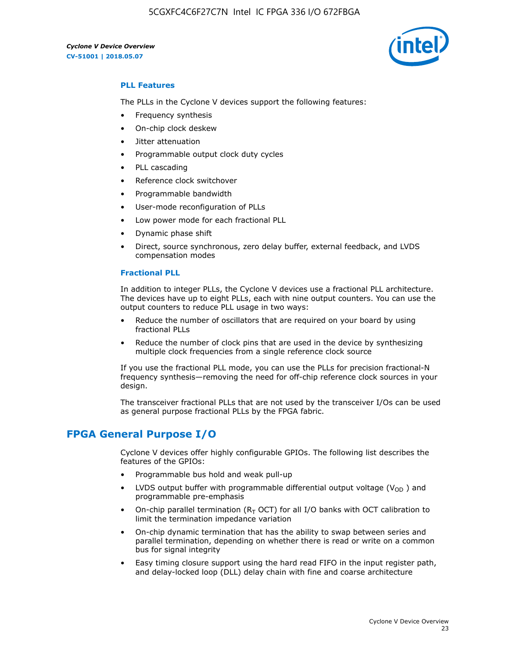

#### **PLL Features**

The PLLs in the Cyclone V devices support the following features:

- Frequency synthesis
- On-chip clock deskew
- Jitter attenuation
- Programmable output clock duty cycles
- PLL cascading
- Reference clock switchover
- Programmable bandwidth
- User-mode reconfiguration of PLLs
- Low power mode for each fractional PLL
- Dynamic phase shift
- Direct, source synchronous, zero delay buffer, external feedback, and LVDS compensation modes

#### **Fractional PLL**

In addition to integer PLLs, the Cyclone V devices use a fractional PLL architecture. The devices have up to eight PLLs, each with nine output counters. You can use the output counters to reduce PLL usage in two ways:

- Reduce the number of oscillators that are required on your board by using fractional PLLs
- Reduce the number of clock pins that are used in the device by synthesizing multiple clock frequencies from a single reference clock source

If you use the fractional PLL mode, you can use the PLLs for precision fractional-N frequency synthesis—removing the need for off-chip reference clock sources in your design.

The transceiver fractional PLLs that are not used by the transceiver I/Os can be used as general purpose fractional PLLs by the FPGA fabric.

## **FPGA General Purpose I/O**

Cyclone V devices offer highly configurable GPIOs. The following list describes the features of the GPIOs:

- Programmable bus hold and weak pull-up
- LVDS output buffer with programmable differential output voltage ( $V_{OD}$ ) and programmable pre-emphasis
- On-chip parallel termination ( $R<sub>T</sub>$  OCT) for all I/O banks with OCT calibration to limit the termination impedance variation
- On-chip dynamic termination that has the ability to swap between series and parallel termination, depending on whether there is read or write on a common bus for signal integrity
- Easy timing closure support using the hard read FIFO in the input register path, and delay-locked loop (DLL) delay chain with fine and coarse architecture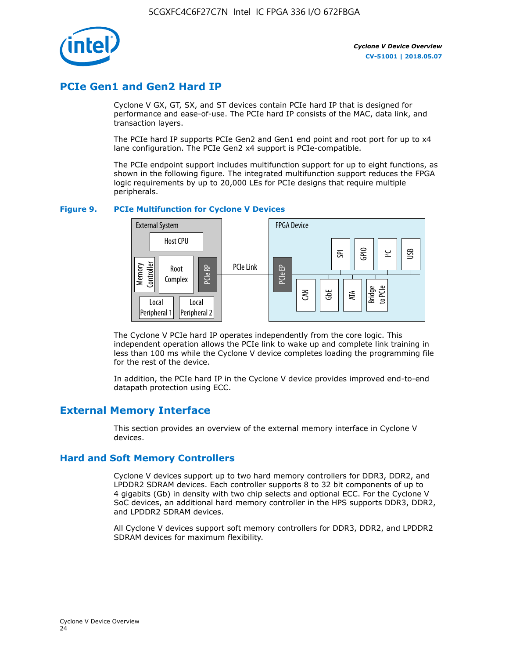

## **PCIe Gen1 and Gen2 Hard IP**

Cyclone V GX, GT, SX, and ST devices contain PCIe hard IP that is designed for performance and ease-of-use. The PCIe hard IP consists of the MAC, data link, and transaction layers.

The PCIe hard IP supports PCIe Gen2 and Gen1 end point and root port for up to x4 lane configuration. The PCIe Gen2 x4 support is PCIe-compatible.

The PCIe endpoint support includes multifunction support for up to eight functions, as shown in the following figure. The integrated multifunction support reduces the FPGA logic requirements by up to 20,000 LEs for PCIe designs that require multiple peripherals.

#### **Figure 9. PCIe Multifunction for Cyclone V Devices**



The Cyclone V PCIe hard IP operates independently from the core logic. This independent operation allows the PCIe link to wake up and complete link training in less than 100 ms while the Cyclone V device completes loading the programming file for the rest of the device.

In addition, the PCIe hard IP in the Cyclone V device provides improved end-to-end datapath protection using ECC.

## **External Memory Interface**

This section provides an overview of the external memory interface in Cyclone V devices.

#### **Hard and Soft Memory Controllers**

Cyclone V devices support up to two hard memory controllers for DDR3, DDR2, and LPDDR2 SDRAM devices. Each controller supports 8 to 32 bit components of up to 4 gigabits (Gb) in density with two chip selects and optional ECC. For the Cyclone V SoC devices, an additional hard memory controller in the HPS supports DDR3, DDR2, and LPDDR2 SDRAM devices.

All Cyclone V devices support soft memory controllers for DDR3, DDR2, and LPDDR2 SDRAM devices for maximum flexibility.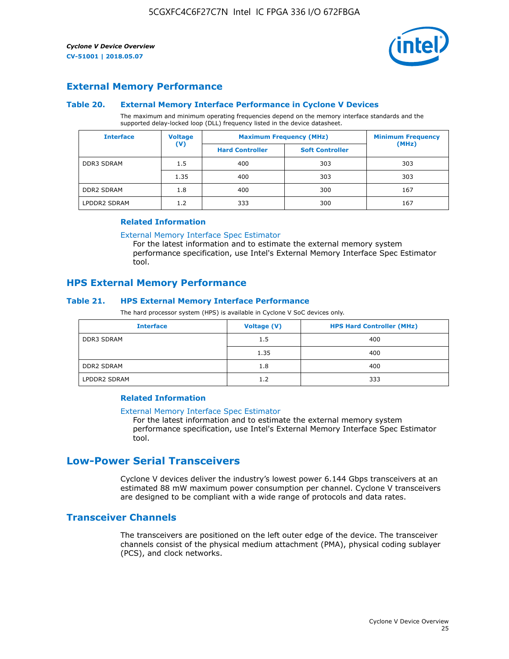

#### **External Memory Performance**

#### **Table 20. External Memory Interface Performance in Cyclone V Devices**

The maximum and minimum operating frequencies depend on the memory interface standards and the supported delay-locked loop (DLL) frequency listed in the device datasheet.

| <b>Interface</b>  | <b>Voltage</b> |                        | <b>Maximum Frequency (MHz)</b> |       |  |
|-------------------|----------------|------------------------|--------------------------------|-------|--|
|                   | $(\mathsf{V})$ | <b>Hard Controller</b> | <b>Soft Controller</b>         | (MHz) |  |
| <b>DDR3 SDRAM</b> | 1.5            | 400                    | 303                            | 303   |  |
|                   | 1.35           | 400                    | 303                            | 303   |  |
| <b>DDR2 SDRAM</b> | 1.8            | 400                    | 300                            | 167   |  |
| LPDDR2 SDRAM      | 1.2            | 333                    | 300                            | 167   |  |

#### **Related Information**

[External Memory Interface Spec Estimator](https://www.altera.com/solutions/technology/external-memory/spec-estimator.html)

For the latest information and to estimate the external memory system performance specification, use Intel's External Memory Interface Spec Estimator tool.

#### **HPS External Memory Performance**

#### **Table 21. HPS External Memory Interface Performance**

The hard processor system (HPS) is available in Cyclone V SoC devices only.

| <b>Interface</b>  | Voltage (V) | <b>HPS Hard Controller (MHz)</b> |
|-------------------|-------------|----------------------------------|
| DDR3 SDRAM        | 1.5         | 400                              |
|                   | 1.35        | 400                              |
| <b>DDR2 SDRAM</b> | 1.8         | 400                              |
| LPDDR2 SDRAM      | 1.2         | 333                              |

#### **Related Information**

#### [External Memory Interface Spec Estimator](https://www.altera.com/solutions/technology/external-memory/spec-estimator.html)

For the latest information and to estimate the external memory system performance specification, use Intel's External Memory Interface Spec Estimator tool.

## **Low-Power Serial Transceivers**

Cyclone V devices deliver the industry's lowest power 6.144 Gbps transceivers at an estimated 88 mW maximum power consumption per channel. Cyclone V transceivers are designed to be compliant with a wide range of protocols and data rates.

#### **Transceiver Channels**

The transceivers are positioned on the left outer edge of the device. The transceiver channels consist of the physical medium attachment (PMA), physical coding sublayer (PCS), and clock networks.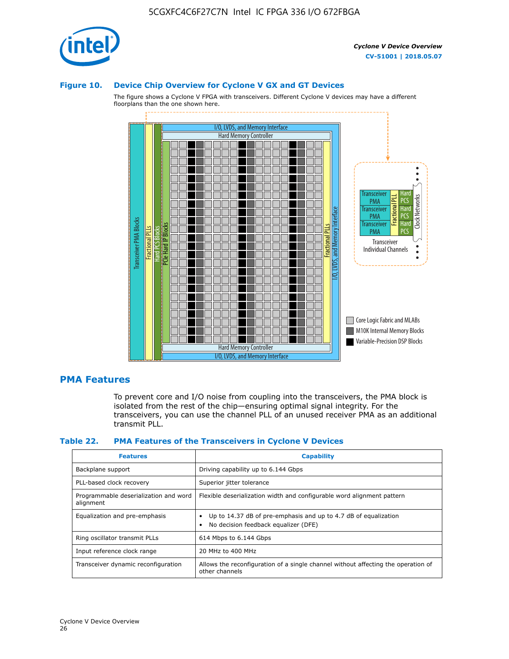

#### **Figure 10. Device Chip Overview for Cyclone V GX and GT Devices**

The figure shows a Cyclone V FPGA with transceivers. Different Cyclone V devices may have a different floorplans than the one shown here.



#### **PMA Features**

To prevent core and I/O noise from coupling into the transceivers, the PMA block is isolated from the rest of the chip—ensuring optimal signal integrity. For the transceivers, you can use the channel PLL of an unused receiver PMA as an additional transmit PLL.

#### **Table 22. PMA Features of the Transceivers in Cyclone V Devices**

| <b>Features</b>                                    | <b>Capability</b>                                                                                       |
|----------------------------------------------------|---------------------------------------------------------------------------------------------------------|
| Backplane support                                  | Driving capability up to 6.144 Gbps                                                                     |
| PLL-based clock recovery                           | Superior jitter tolerance                                                                               |
| Programmable deserialization and word<br>alignment | Flexible deserialization width and configurable word alignment pattern                                  |
| Equalization and pre-emphasis                      | Up to 14.37 dB of pre-emphasis and up to 4.7 dB of equalization<br>No decision feedback equalizer (DFE) |
| Ring oscillator transmit PLLs                      | 614 Mbps to 6.144 Gbps                                                                                  |
| Input reference clock range                        | 20 MHz to 400 MHz                                                                                       |
| Transceiver dynamic reconfiguration                | Allows the reconfiguration of a single channel without affecting the operation of<br>other channels     |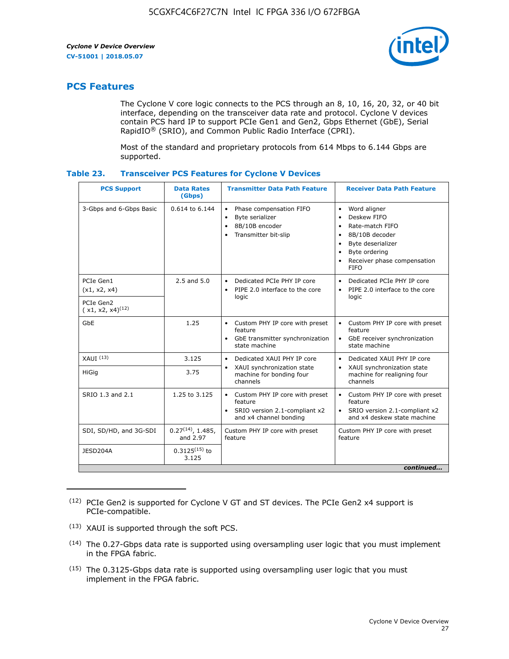

## **PCS Features**

The Cyclone V core logic connects to the PCS through an 8, 10, 16, 20, 32, or 40 bit interface, depending on the transceiver data rate and protocol. Cyclone V devices contain PCS hard IP to support PCIe Gen1 and Gen2, Gbps Ethernet (GbE), Serial RapidIO® (SRIO), and Common Public Radio Interface (CPRI).

Most of the standard and proprietary protocols from 614 Mbps to 6.144 Gbps are supported.

| Table 23. | <b>Transceiver PCS Features for Cyclone V Devices</b> |  |  |  |
|-----------|-------------------------------------------------------|--|--|--|
|-----------|-------------------------------------------------------|--|--|--|

| <b>PCS Support</b>                 | <b>Data Rates</b><br>(Gbps)        | <b>Transmitter Data Path Feature</b>                                                                         | <b>Receiver Data Path Feature</b>                                                                                                                                                                                                  |  |  |  |
|------------------------------------|------------------------------------|--------------------------------------------------------------------------------------------------------------|------------------------------------------------------------------------------------------------------------------------------------------------------------------------------------------------------------------------------------|--|--|--|
| 3-Gbps and 6-Gbps Basic            | 0.614 to 6.144                     | • Phase compensation FIFO<br>Byte serializer<br>8B/10B encoder<br>Transmitter bit-slip                       | Word aligner<br>$\bullet$<br>Deskew FIFO<br>$\bullet$<br>Rate-match FIFO<br>$\bullet$<br>8B/10B decoder<br>$\bullet$<br>Byte deserializer<br>$\bullet$<br>Byte ordering<br>$\bullet$<br>Receiver phase compensation<br><b>FIFO</b> |  |  |  |
| PCIe Gen1<br>(x1, x2, x4)          | $2.5$ and $5.0$                    | Dedicated PCIe PHY IP core<br>PIPE 2.0 interface to the core<br>$\bullet$<br>logic                           | Dedicated PCIe PHY IP core<br>$\bullet$<br>PIPE 2.0 interface to the core<br>$\bullet$<br>logic                                                                                                                                    |  |  |  |
| PCIe Gen2<br>$(x1, x2, x4)^{(12)}$ |                                    |                                                                                                              |                                                                                                                                                                                                                                    |  |  |  |
| GbE                                | 1.25                               | • Custom PHY IP core with preset<br>feature<br>GbE transmitter synchronization<br>$\bullet$<br>state machine | • Custom PHY IP core with preset<br>feature<br>GbE receiver synchronization<br>state machine                                                                                                                                       |  |  |  |
| $XAUI$ $(13)$                      | 3.125                              | Dedicated XAUI PHY IP core<br>$\bullet$                                                                      | Dedicated XAUI PHY IP core<br>$\bullet$                                                                                                                                                                                            |  |  |  |
| <b>HiGig</b>                       | 3.75                               | XAUI synchronization state<br>$\bullet$<br>machine for bonding four<br>channels                              | XAUI synchronization state<br>$\bullet$<br>machine for realigning four<br>channels                                                                                                                                                 |  |  |  |
| SRIO 1.3 and 2.1                   | 1.25 to 3.125                      | • Custom PHY IP core with preset<br>feature<br>• SRIO version 2.1-compliant x2<br>and x4 channel bonding     | • Custom PHY IP core with preset<br>feature<br>• SRIO version 2.1-compliant x2<br>and x4 deskew state machine                                                                                                                      |  |  |  |
| SDI, SD/HD, and 3G-SDI             | $0.27^{(14)}$ , 1.485,<br>and 2.97 | Custom PHY IP core with preset<br>feature                                                                    | Custom PHY IP core with preset<br>feature                                                                                                                                                                                          |  |  |  |
| JESD204A                           | $0.3125^{(15)}$ to<br>3.125        |                                                                                                              |                                                                                                                                                                                                                                    |  |  |  |
| continued                          |                                    |                                                                                                              |                                                                                                                                                                                                                                    |  |  |  |

<sup>(12)</sup> PCIe Gen2 is supported for Cyclone V GT and ST devices. The PCIe Gen2 x4 support is PCIe-compatible.

<sup>(13)</sup> XAUI is supported through the soft PCS.

<sup>(14)</sup> The 0.27-Gbps data rate is supported using oversampling user logic that you must implement in the FPGA fabric.

<sup>(15)</sup> The 0.3125-Gbps data rate is supported using oversampling user logic that you must implement in the FPGA fabric.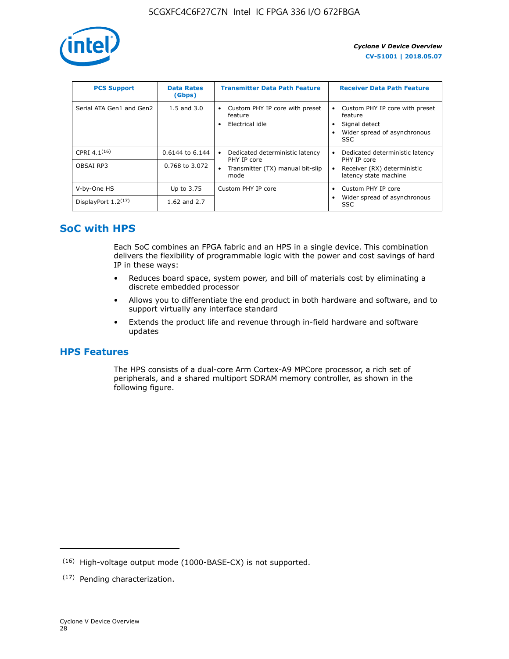

| <b>PCS Support</b>       | <b>Data Rates</b><br>(Gbps) | <b>Transmitter Data Path Feature</b>                         | <b>Receiver Data Path Feature</b>                                                                        |
|--------------------------|-----------------------------|--------------------------------------------------------------|----------------------------------------------------------------------------------------------------------|
| Serial ATA Gen1 and Gen2 | $1.5$ and $3.0$             | Custom PHY IP core with preset<br>feature<br>Electrical idle | Custom PHY IP core with preset<br>feature<br>Signal detect<br>Wider spread of asynchronous<br><b>SSC</b> |
| CPRI 4.1 $(16)$          | $0.6144$ to 6.144           | Dedicated deterministic latency<br>٠<br>PHY IP core          | Dedicated deterministic latency<br>PHY IP core                                                           |
| OBSAI RP3                | 0.768 to 3.072              | Transmitter (TX) manual bit-slip<br>٠<br>mode                | Receiver (RX) deterministic<br>latency state machine                                                     |
| V-by-One HS              | Up to 3.75                  | Custom PHY IP core                                           | Custom PHY IP core                                                                                       |
| DisplayPort $1.2^{(17)}$ | 1.62 and $2.7$              |                                                              | Wider spread of asynchronous<br><b>SSC</b>                                                               |

## **SoC with HPS**

Each SoC combines an FPGA fabric and an HPS in a single device. This combination delivers the flexibility of programmable logic with the power and cost savings of hard IP in these ways:

- Reduces board space, system power, and bill of materials cost by eliminating a discrete embedded processor
- Allows you to differentiate the end product in both hardware and software, and to support virtually any interface standard
- Extends the product life and revenue through in-field hardware and software updates

## **HPS Features**

The HPS consists of a dual-core Arm Cortex-A9 MPCore processor, a rich set of peripherals, and a shared multiport SDRAM memory controller, as shown in the following figure.

<sup>(16)</sup> High-voltage output mode (1000-BASE-CX) is not supported.

<sup>(17)</sup> Pending characterization.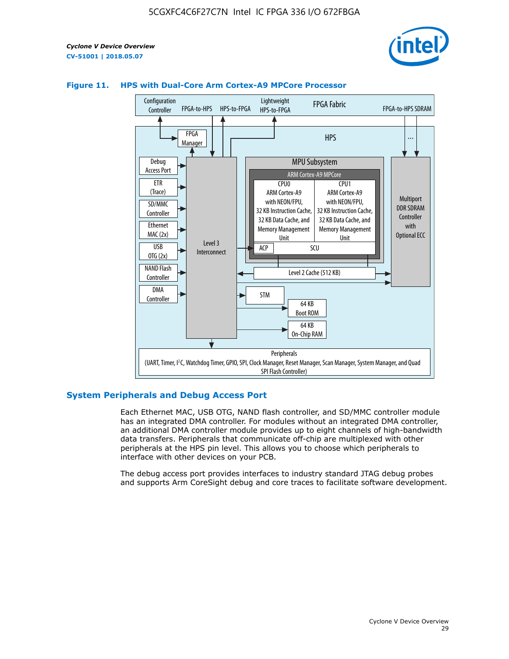



#### **Figure 11. HPS with Dual-Core Arm Cortex-A9 MPCore Processor**

#### **System Peripherals and Debug Access Port**

Each Ethernet MAC, USB OTG, NAND flash controller, and SD/MMC controller module has an integrated DMA controller. For modules without an integrated DMA controller, an additional DMA controller module provides up to eight channels of high-bandwidth data transfers. Peripherals that communicate off-chip are multiplexed with other peripherals at the HPS pin level. This allows you to choose which peripherals to interface with other devices on your PCB.

The debug access port provides interfaces to industry standard JTAG debug probes and supports Arm CoreSight debug and core traces to facilitate software development.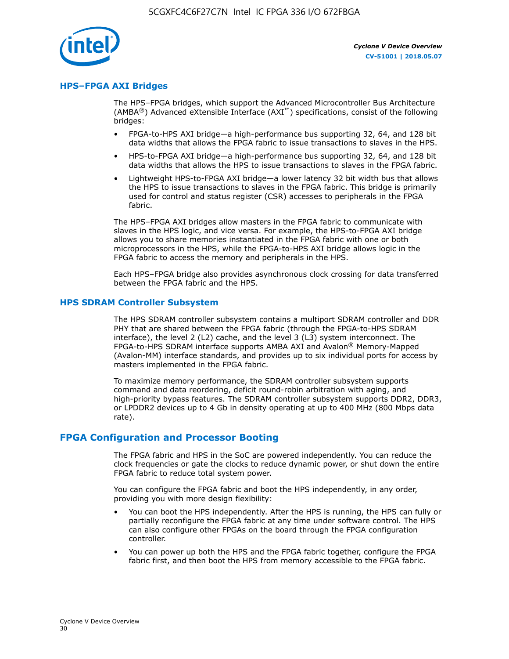

#### **HPS–FPGA AXI Bridges**

The HPS–FPGA bridges, which support the Advanced Microcontroller Bus Architecture (AMBA<sup>®</sup>) Advanced eXtensible Interface (AXI<sup>™</sup>) specifications, consist of the following bridges:

- FPGA-to-HPS AXI bridge—a high-performance bus supporting 32, 64, and 128 bit data widths that allows the FPGA fabric to issue transactions to slaves in the HPS.
- HPS-to-FPGA AXI bridge—a high-performance bus supporting 32, 64, and 128 bit data widths that allows the HPS to issue transactions to slaves in the FPGA fabric.
- Lightweight HPS-to-FPGA AXI bridge—a lower latency 32 bit width bus that allows the HPS to issue transactions to slaves in the FPGA fabric. This bridge is primarily used for control and status register (CSR) accesses to peripherals in the FPGA fabric.

The HPS–FPGA AXI bridges allow masters in the FPGA fabric to communicate with slaves in the HPS logic, and vice versa. For example, the HPS-to-FPGA AXI bridge allows you to share memories instantiated in the FPGA fabric with one or both microprocessors in the HPS, while the FPGA-to-HPS AXI bridge allows logic in the FPGA fabric to access the memory and peripherals in the HPS.

Each HPS–FPGA bridge also provides asynchronous clock crossing for data transferred between the FPGA fabric and the HPS.

#### **HPS SDRAM Controller Subsystem**

The HPS SDRAM controller subsystem contains a multiport SDRAM controller and DDR PHY that are shared between the FPGA fabric (through the FPGA-to-HPS SDRAM interface), the level 2 (L2) cache, and the level 3 (L3) system interconnect. The FPGA-to-HPS SDRAM interface supports AMBA AXI and Avalon® Memory-Mapped (Avalon-MM) interface standards, and provides up to six individual ports for access by masters implemented in the FPGA fabric.

To maximize memory performance, the SDRAM controller subsystem supports command and data reordering, deficit round-robin arbitration with aging, and high-priority bypass features. The SDRAM controller subsystem supports DDR2, DDR3, or LPDDR2 devices up to 4 Gb in density operating at up to 400 MHz (800 Mbps data rate).

#### **FPGA Configuration and Processor Booting**

The FPGA fabric and HPS in the SoC are powered independently. You can reduce the clock frequencies or gate the clocks to reduce dynamic power, or shut down the entire FPGA fabric to reduce total system power.

You can configure the FPGA fabric and boot the HPS independently, in any order, providing you with more design flexibility:

- You can boot the HPS independently. After the HPS is running, the HPS can fully or partially reconfigure the FPGA fabric at any time under software control. The HPS can also configure other FPGAs on the board through the FPGA configuration controller.
- You can power up both the HPS and the FPGA fabric together, configure the FPGA fabric first, and then boot the HPS from memory accessible to the FPGA fabric.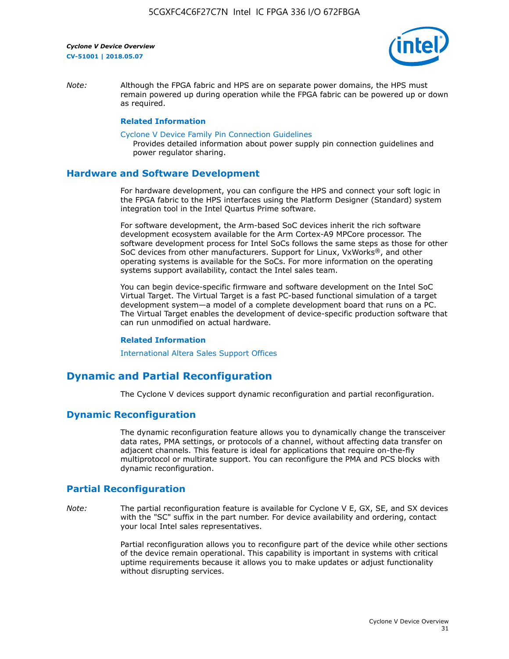

*Note:* Although the FPGA fabric and HPS are on separate power domains, the HPS must remain powered up during operation while the FPGA fabric can be powered up or down as required.

#### **Related Information**

[Cyclone V Device Family Pin Connection Guidelines](https://www.altera.com/content/dam/altera-www/global/en_US/pdfs/literature/dp/cyclone-v/pcg-01014.pdf)

Provides detailed information about power supply pin connection guidelines and power regulator sharing.

#### **Hardware and Software Development**

For hardware development, you can configure the HPS and connect your soft logic in the FPGA fabric to the HPS interfaces using the Platform Designer (Standard) system integration tool in the Intel Quartus Prime software.

For software development, the Arm-based SoC devices inherit the rich software development ecosystem available for the Arm Cortex-A9 MPCore processor. The software development process for Intel SoCs follows the same steps as those for other SoC devices from other manufacturers. Support for Linux, VxWorks®, and other operating systems is available for the SoCs. For more information on the operating systems support availability, contact the Intel sales team.

You can begin device-specific firmware and software development on the Intel SoC Virtual Target. The Virtual Target is a fast PC-based functional simulation of a target development system—a model of a complete development board that runs on a PC. The Virtual Target enables the development of device-specific production software that can run unmodified on actual hardware.

#### **Related Information**

[International Altera Sales Support Offices](https://www.altera.com/about/contact/contact/international-altera-sales-offices.html)

## **Dynamic and Partial Reconfiguration**

The Cyclone V devices support dynamic reconfiguration and partial reconfiguration.

#### **Dynamic Reconfiguration**

The dynamic reconfiguration feature allows you to dynamically change the transceiver data rates, PMA settings, or protocols of a channel, without affecting data transfer on adjacent channels. This feature is ideal for applications that require on-the-fly multiprotocol or multirate support. You can reconfigure the PMA and PCS blocks with dynamic reconfiguration.

## **Partial Reconfiguration**

*Note:* The partial reconfiguration feature is available for Cyclone V E, GX, SE, and SX devices with the "SC" suffix in the part number. For device availability and ordering, contact your local Intel sales representatives.

> Partial reconfiguration allows you to reconfigure part of the device while other sections of the device remain operational. This capability is important in systems with critical uptime requirements because it allows you to make updates or adjust functionality without disrupting services.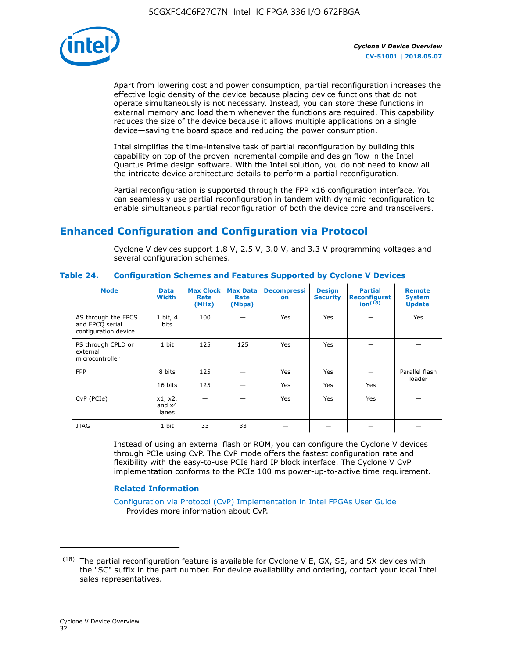

Apart from lowering cost and power consumption, partial reconfiguration increases the effective logic density of the device because placing device functions that do not operate simultaneously is not necessary. Instead, you can store these functions in external memory and load them whenever the functions are required. This capability reduces the size of the device because it allows multiple applications on a single device—saving the board space and reducing the power consumption.

Intel simplifies the time-intensive task of partial reconfiguration by building this capability on top of the proven incremental compile and design flow in the Intel Quartus Prime design software. With the Intel solution, you do not need to know all the intricate device architecture details to perform a partial reconfiguration.

Partial reconfiguration is supported through the FPP x16 configuration interface. You can seamlessly use partial reconfiguration in tandem with dynamic reconfiguration to enable simultaneous partial reconfiguration of both the device core and transceivers.

## **Enhanced Configuration and Configuration via Protocol**

Cyclone V devices support 1.8 V, 2.5 V, 3.0 V, and 3.3 V programming voltages and several configuration schemes.

| <b>Mode</b>                                                    | <b>Data</b><br>Width         | Max Clock  <br>Rate<br>(MHz) | <b>Max Data</b><br>Rate<br>(Mbps) | <b>Decompressi</b><br>on | <b>Design</b><br><b>Security</b> | <b>Partial</b><br>Reconfigurat<br>ion <sup>(18)</sup> | <b>Remote</b><br><b>System</b><br><b>Update</b> |
|----------------------------------------------------------------|------------------------------|------------------------------|-----------------------------------|--------------------------|----------------------------------|-------------------------------------------------------|-------------------------------------------------|
| AS through the EPCS<br>and EPCQ serial<br>configuration device | 1 bit, 4<br>bits             | 100                          |                                   | Yes                      | <b>Yes</b>                       |                                                       | Yes                                             |
| PS through CPLD or<br>external<br>microcontroller              | 1 bit                        | 125                          | 125                               | Yes                      | Yes                              |                                                       |                                                 |
| <b>FPP</b>                                                     | 8 bits                       | 125                          |                                   | Yes                      | <b>Yes</b>                       |                                                       | Parallel flash                                  |
|                                                                | 16 bits                      | 125                          |                                   | Yes                      | <b>Yes</b>                       | Yes                                                   | loader                                          |
| CvP (PCIe)                                                     | x1, x2,<br>and $x4$<br>lanes |                              |                                   | Yes                      | <b>Yes</b>                       | Yes                                                   |                                                 |
| <b>JTAG</b>                                                    | 1 bit                        | 33                           | 33                                |                          |                                  |                                                       |                                                 |

**Table 24. Configuration Schemes and Features Supported by Cyclone V Devices**

Instead of using an external flash or ROM, you can configure the Cyclone V devices through PCIe using CvP. The CvP mode offers the fastest configuration rate and flexibility with the easy-to-use PCIe hard IP block interface. The Cyclone V CvP implementation conforms to the PCIe 100 ms power-up-to-active time requirement.

#### **Related Information**

[Configuration via Protocol \(CvP\) Implementation in Intel FPGAs User Guide](https://www.altera.com/documentation/nik1412546950394.html#nik1412546833714) Provides more information about CvP.

 $(18)$  The partial reconfiguration feature is available for Cyclone V E, GX, SE, and SX devices with the "SC" suffix in the part number. For device availability and ordering, contact your local Intel sales representatives.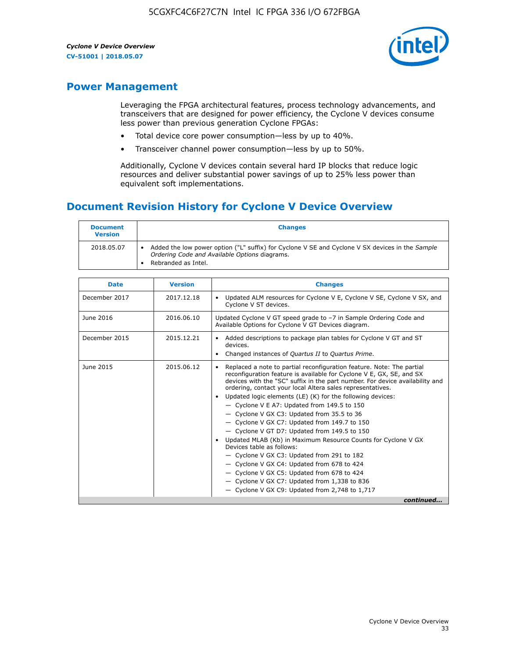

## **Power Management**

Leveraging the FPGA architectural features, process technology advancements, and transceivers that are designed for power efficiency, the Cyclone V devices consume less power than previous generation Cyclone FPGAs:

- Total device core power consumption—less by up to 40%.
- Transceiver channel power consumption—less by up to 50%.

Additionally, Cyclone V devices contain several hard IP blocks that reduce logic resources and deliver substantial power savings of up to 25% less power than equivalent soft implementations.

## **Document Revision History for Cyclone V Device Overview**

| <b>Document</b><br><b>Version</b> | <b>Changes</b>                                                                                                                                                          |
|-----------------------------------|-------------------------------------------------------------------------------------------------------------------------------------------------------------------------|
| 2018.05.07                        | Added the low power option ("L" suffix) for Cyclone V SE and Cyclone V SX devices in the Sample<br>Ordering Code and Available Options diagrams.<br>Rebranded as Intel. |

| <b>Date</b>   | <b>Version</b> | <b>Changes</b>                                                                                                                                                                                                                                                                                                                                                                                                                                                                                                                                                                                                                                                                                                                                                                                                                                                                                                  |
|---------------|----------------|-----------------------------------------------------------------------------------------------------------------------------------------------------------------------------------------------------------------------------------------------------------------------------------------------------------------------------------------------------------------------------------------------------------------------------------------------------------------------------------------------------------------------------------------------------------------------------------------------------------------------------------------------------------------------------------------------------------------------------------------------------------------------------------------------------------------------------------------------------------------------------------------------------------------|
| December 2017 | 2017.12.18     | Updated ALM resources for Cyclone V E, Cyclone V SE, Cyclone V SX, and<br>Cyclone V ST devices.                                                                                                                                                                                                                                                                                                                                                                                                                                                                                                                                                                                                                                                                                                                                                                                                                 |
| June 2016     | 2016.06.10     | Updated Cyclone V GT speed grade to -7 in Sample Ordering Code and<br>Available Options for Cyclone V GT Devices diagram.                                                                                                                                                                                                                                                                                                                                                                                                                                                                                                                                                                                                                                                                                                                                                                                       |
| December 2015 | 2015.12.21     | Added descriptions to package plan tables for Cyclone V GT and ST<br>devices.<br>Changed instances of Quartus II to Quartus Prime.                                                                                                                                                                                                                                                                                                                                                                                                                                                                                                                                                                                                                                                                                                                                                                              |
| June 2015     | 2015.06.12     | Replaced a note to partial reconfiguration feature. Note: The partial<br>reconfiguration feature is available for Cyclone V E, GX, SE, and SX<br>devices with the "SC" suffix in the part number. For device availability and<br>ordering, contact your local Altera sales representatives.<br>Updated logic elements (LE) (K) for the following devices:<br>$\bullet$<br>- Cyclone V E A7: Updated from 149.5 to 150<br>- Cyclone V GX C3: Updated from 35.5 to 36<br>- Cyclone V GX C7: Updated from 149.7 to 150<br>- Cyclone V GT D7: Updated from 149.5 to 150<br>Updated MLAB (Kb) in Maximum Resource Counts for Cyclone V GX<br>Devices table as follows:<br>- Cyclone V GX C3: Updated from 291 to 182<br>- Cyclone V GX C4: Updated from 678 to 424<br>- Cyclone V GX C5: Updated from 678 to 424<br>- Cyclone V GX C7: Updated from 1,338 to 836<br>$-$ Cyclone V GX C9: Updated from 2,748 to 1,717 |
|               |                | continued                                                                                                                                                                                                                                                                                                                                                                                                                                                                                                                                                                                                                                                                                                                                                                                                                                                                                                       |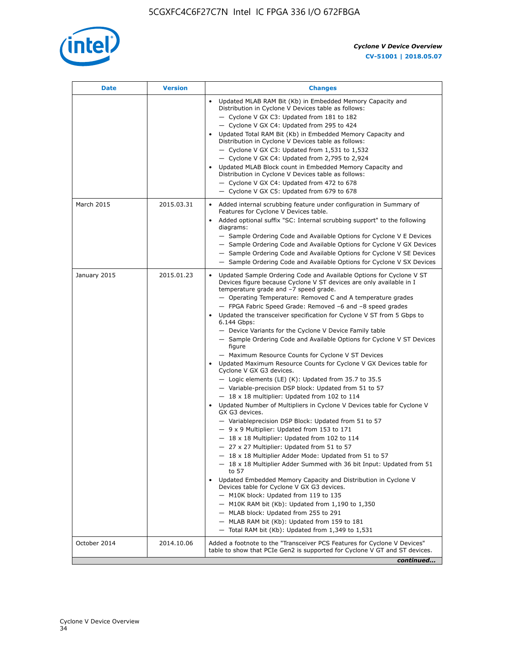

| <b>Date</b>  | <b>Version</b> | <b>Changes</b>                                                                                                                                                                                                                                                                                                                                                                                                                                                                                                                                                                                                                                                                                                                                                                                                                                                                                                                                                                                                                                                                                                                                                                                                                                                                                                                                                                                                                                                                                                                                                                                                                                                                                                |
|--------------|----------------|---------------------------------------------------------------------------------------------------------------------------------------------------------------------------------------------------------------------------------------------------------------------------------------------------------------------------------------------------------------------------------------------------------------------------------------------------------------------------------------------------------------------------------------------------------------------------------------------------------------------------------------------------------------------------------------------------------------------------------------------------------------------------------------------------------------------------------------------------------------------------------------------------------------------------------------------------------------------------------------------------------------------------------------------------------------------------------------------------------------------------------------------------------------------------------------------------------------------------------------------------------------------------------------------------------------------------------------------------------------------------------------------------------------------------------------------------------------------------------------------------------------------------------------------------------------------------------------------------------------------------------------------------------------------------------------------------------------|
|              |                | Updated MLAB RAM Bit (Kb) in Embedded Memory Capacity and<br>Distribution in Cyclone V Devices table as follows:<br>- Cyclone V GX C3: Updated from 181 to 182<br>- Cyclone V GX C4: Updated from 295 to 424<br>Updated Total RAM Bit (Kb) in Embedded Memory Capacity and<br>Distribution in Cyclone V Devices table as follows:<br>- Cyclone V GX C3: Updated from $1,531$ to $1,532$<br>- Cyclone V GX C4: Updated from 2,795 to 2,924<br>Updated MLAB Block count in Embedded Memory Capacity and<br>Distribution in Cyclone V Devices table as follows:<br>- Cyclone V GX C4: Updated from 472 to 678<br>- Cyclone V GX C5: Updated from 679 to 678                                                                                                                                                                                                                                                                                                                                                                                                                                                                                                                                                                                                                                                                                                                                                                                                                                                                                                                                                                                                                                                      |
| March 2015   | 2015.03.31     | Added internal scrubbing feature under configuration in Summary of<br>$\bullet$<br>Features for Cyclone V Devices table.<br>Added optional suffix "SC: Internal scrubbing support" to the following<br>diagrams:<br>- Sample Ordering Code and Available Options for Cyclone V E Devices<br>- Sample Ordering Code and Available Options for Cyclone V GX Devices<br>- Sample Ordering Code and Available Options for Cyclone V SE Devices<br>- Sample Ordering Code and Available Options for Cyclone V SX Devices                                                                                                                                                                                                                                                                                                                                                                                                                                                                                                                                                                                                                                                                                                                                                                                                                                                                                                                                                                                                                                                                                                                                                                                           |
| January 2015 | 2015.01.23     | Updated Sample Ordering Code and Available Options for Cyclone V ST<br>Devices figure because Cyclone V ST devices are only available in I<br>temperature grade and -7 speed grade.<br>- Operating Temperature: Removed C and A temperature grades<br>- FPGA Fabric Speed Grade: Removed -6 and -8 speed grades<br>Updated the transceiver specification for Cyclone V ST from 5 Gbps to<br>6.144 Gbps:<br>- Device Variants for the Cyclone V Device Family table<br>- Sample Ordering Code and Available Options for Cyclone V ST Devices<br>figure<br>- Maximum Resource Counts for Cyclone V ST Devices<br>Updated Maximum Resource Counts for Cyclone V GX Devices table for<br>Cyclone V GX G3 devices.<br>$-$ Logic elements (LE) (K): Updated from 35.7 to 35.5<br>- Variable-precision DSP block: Updated from 51 to 57<br>$-18 \times 18$ multiplier: Updated from 102 to 114<br>Updated Number of Multipliers in Cyclone V Devices table for Cyclone V<br>GX G3 devices.<br>- Variableprecision DSP Block: Updated from 51 to 57<br>$-9x9$ Multiplier: Updated from 153 to 171<br>$-18 \times 18$ Multiplier: Updated from 102 to 114<br>- 27 x 27 Multiplier: Updated from 51 to 57<br>- 18 x 18 Multiplier Adder Mode: Updated from 51 to 57<br>$-18 \times 18$ Multiplier Adder Summed with 36 bit Input: Updated from 51<br>to 57<br>Updated Embedded Memory Capacity and Distribution in Cyclone V<br>Devices table for Cyclone V GX G3 devices.<br>- M10K block: Updated from 119 to 135<br>- M10K RAM bit (Kb): Updated from 1,190 to 1,350<br>- MLAB block: Updated from 255 to 291<br>- MLAB RAM bit (Kb): Updated from 159 to 181<br>$-$ Total RAM bit (Kb): Updated from 1,349 to 1,531 |
| October 2014 | 2014.10.06     | Added a footnote to the "Transceiver PCS Features for Cyclone V Devices"<br>table to show that PCIe Gen2 is supported for Cyclone V GT and ST devices.                                                                                                                                                                                                                                                                                                                                                                                                                                                                                                                                                                                                                                                                                                                                                                                                                                                                                                                                                                                                                                                                                                                                                                                                                                                                                                                                                                                                                                                                                                                                                        |
|              |                | continued                                                                                                                                                                                                                                                                                                                                                                                                                                                                                                                                                                                                                                                                                                                                                                                                                                                                                                                                                                                                                                                                                                                                                                                                                                                                                                                                                                                                                                                                                                                                                                                                                                                                                                     |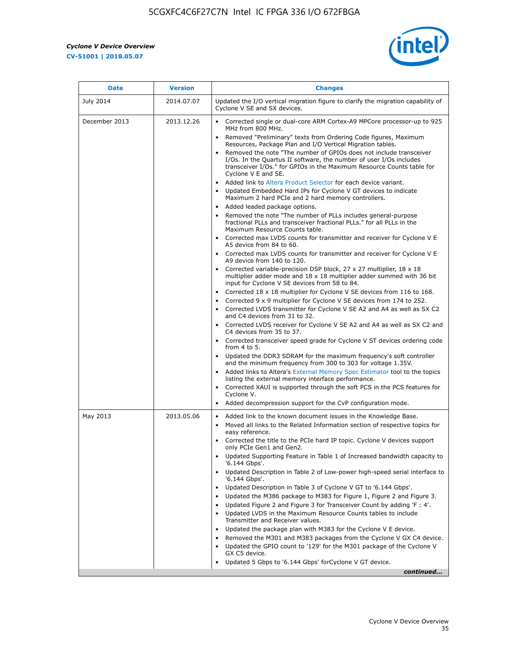r



| <b>Date</b>   | <b>Version</b> | <b>Changes</b>                                                                                                                                                                                                                           |
|---------------|----------------|------------------------------------------------------------------------------------------------------------------------------------------------------------------------------------------------------------------------------------------|
| July 2014     | 2014.07.07     | Updated the I/O vertical migration figure to clarify the migration capability of<br>Cyclone V SE and SX devices.                                                                                                                         |
| December 2013 | 2013.12.26     | Corrected single or dual-core ARM Cortex-A9 MPCore processor-up to 925<br>MHz from 800 MHz.                                                                                                                                              |
|               |                | Removed "Preliminary" texts from Ordering Code figures, Maximum<br>Resources, Package Plan and I/O Vertical Migration tables.                                                                                                            |
|               |                | Removed the note "The number of GPIOs does not include transceiver<br>I/Os. In the Quartus II software, the number of user I/Os includes<br>transceiver I/Os." for GPIOs in the Maximum Resource Counts table for<br>Cyclone V E and SE. |
|               |                | Added link to Altera Product Selector for each device variant.<br>Updated Embedded Hard IPs for Cyclone V GT devices to indicate<br>Maximum 2 hard PCIe and 2 hard memory controllers.                                                   |
|               |                | • Added leaded package options.                                                                                                                                                                                                          |
|               |                | Removed the note "The number of PLLs includes general-purpose<br>fractional PLLs and transceiver fractional PLLs." for all PLLs in the<br>Maximum Resource Counts table.                                                                 |
|               |                | • Corrected max LVDS counts for transmitter and receiver for Cyclone V E<br>A5 device from 84 to 60.                                                                                                                                     |
|               |                | • Corrected max LVDS counts for transmitter and receiver for Cyclone V E<br>A9 device from 140 to 120.                                                                                                                                   |
|               |                | Corrected variable-precision DSP block, 27 x 27 multiplier, 18 x 18<br>multiplier adder mode and 18 x 18 multiplier adder summed with 36 bit<br>input for Cyclone V SE devices from 58 to 84.                                            |
|               |                | Corrected 18 x 18 multiplier for Cyclone V SE devices from 116 to 168.                                                                                                                                                                   |
|               |                | Corrected 9 x 9 multiplier for Cyclone V SE devices from 174 to 252.                                                                                                                                                                     |
|               |                | • Corrected LVDS transmitter for Cyclone V SE A2 and A4 as well as SX C2<br>and C4 devices from 31 to 32.                                                                                                                                |
|               |                | • Corrected LVDS receiver for Cyclone V SE A2 and A4 as well as SX C2 and<br>C4 devices from 35 to 37.                                                                                                                                   |
|               |                | • Corrected transceiver speed grade for Cyclone V ST devices ordering code<br>from 4 to 5.                                                                                                                                               |
|               |                | • Updated the DDR3 SDRAM for the maximum frequency's soft controller<br>and the minimum frequency from 300 to 303 for voltage 1.35V.                                                                                                     |
|               |                | Added links to Altera's External Memory Spec Estimator tool to the topics<br>listing the external memory interface performance.                                                                                                          |
|               |                | • Corrected XAUI is supported through the soft PCS in the PCS features for<br>Cyclone V.                                                                                                                                                 |
|               |                | Added decompression support for the CvP configuration mode.                                                                                                                                                                              |
| May 2013      | 2013.05.06     | Added link to the known document issues in the Knowledge Base.<br>$\bullet$                                                                                                                                                              |
|               |                | Moved all links to the Related Information section of respective topics for<br>$\bullet$<br>easy reference.                                                                                                                              |
|               |                | • Corrected the title to the PCIe hard IP topic. Cyclone V devices support<br>only PCIe Gen1 and Gen2.                                                                                                                                   |
|               |                | • Updated Supporting Feature in Table 1 of Increased bandwidth capacity to<br>'6.144 Gbps'.                                                                                                                                              |
|               |                | Updated Description in Table 2 of Low-power high-speed serial interface to<br>'6.144 Gbps'.                                                                                                                                              |
|               |                | Updated Description in Table 3 of Cyclone V GT to '6.144 Gbps'.                                                                                                                                                                          |
|               |                | Updated the M386 package to M383 for Figure 1, Figure 2 and Figure 3.<br>$\bullet$                                                                                                                                                       |
|               |                | Updated Figure 2 and Figure 3 for Transceiver Count by adding 'F : 4'.<br>$\bullet$                                                                                                                                                      |
|               |                | Updated LVDS in the Maximum Resource Counts tables to include<br>Transmitter and Receiver values.                                                                                                                                        |
|               |                | Updated the package plan with M383 for the Cyclone V E device.                                                                                                                                                                           |
|               |                | Removed the M301 and M383 packages from the Cyclone V GX C4 device.                                                                                                                                                                      |
|               |                | Updated the GPIO count to '129' for the M301 package of the Cyclone V<br>GX C5 device.                                                                                                                                                   |
|               |                | Updated 5 Gbps to '6.144 Gbps' for Cyclone V GT device.                                                                                                                                                                                  |
|               |                | continued                                                                                                                                                                                                                                |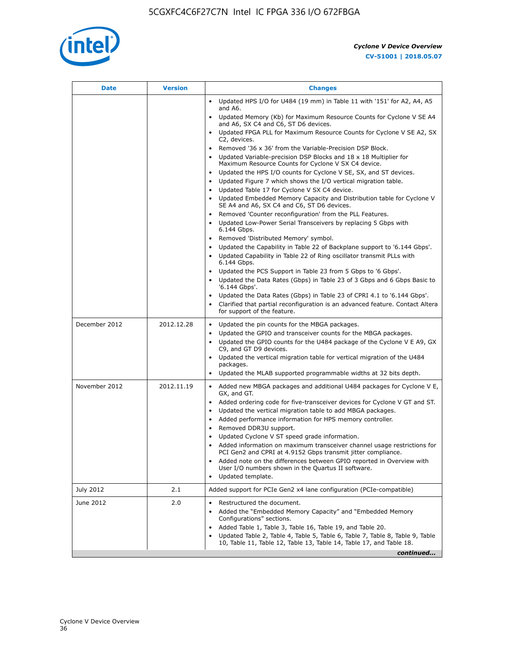

| <b>Date</b>   | <b>Version</b> | <b>Changes</b>                                                                                                                                                                                                                                                                                                                                                                                                                                                                                                                                                                                                                  |
|---------------|----------------|---------------------------------------------------------------------------------------------------------------------------------------------------------------------------------------------------------------------------------------------------------------------------------------------------------------------------------------------------------------------------------------------------------------------------------------------------------------------------------------------------------------------------------------------------------------------------------------------------------------------------------|
|               |                | Updated HPS I/O for U484 (19 mm) in Table 11 with '151' for A2, A4, A5<br>and A6.                                                                                                                                                                                                                                                                                                                                                                                                                                                                                                                                               |
|               |                | Updated Memory (Kb) for Maximum Resource Counts for Cyclone V SE A4<br>and A6, SX C4 and C6, ST D6 devices.                                                                                                                                                                                                                                                                                                                                                                                                                                                                                                                     |
|               |                | Updated FPGA PLL for Maximum Resource Counts for Cyclone V SE A2, SX<br>C2, devices.                                                                                                                                                                                                                                                                                                                                                                                                                                                                                                                                            |
|               |                | Removed '36 x 36' from the Variable-Precision DSP Block.<br>Updated Variable-precision DSP Blocks and $18 \times 18$ Multiplier for<br>Maximum Resource Counts for Cyclone V SX C4 device.                                                                                                                                                                                                                                                                                                                                                                                                                                      |
|               |                | Updated the HPS I/O counts for Cyclone V SE, SX, and ST devices.<br>Updated Figure 7 which shows the I/O vertical migration table.<br>Updated Table 17 for Cyclone V SX C4 device.<br>$\bullet$                                                                                                                                                                                                                                                                                                                                                                                                                                 |
|               |                | • Updated Embedded Memory Capacity and Distribution table for Cyclone V<br>SE A4 and A6, SX C4 and C6, ST D6 devices.                                                                                                                                                                                                                                                                                                                                                                                                                                                                                                           |
|               |                | Removed 'Counter reconfiguration' from the PLL Features.<br>$\bullet$<br>Updated Low-Power Serial Transceivers by replacing 5 Gbps with<br>6.144 Gbps.                                                                                                                                                                                                                                                                                                                                                                                                                                                                          |
|               |                | Removed 'Distributed Memory' symbol.<br>Updated the Capability in Table 22 of Backplane support to '6.144 Gbps'.<br>Updated Capability in Table 22 of Ring oscillator transmit PLLs with                                                                                                                                                                                                                                                                                                                                                                                                                                        |
|               |                | 6.144 Gbps.<br>Updated the PCS Support in Table 23 from 5 Gbps to '6 Gbps'.<br>Updated the Data Rates (Gbps) in Table 23 of 3 Gbps and 6 Gbps Basic to<br>$\bullet$<br>'6.144 Gbps'.                                                                                                                                                                                                                                                                                                                                                                                                                                            |
|               |                | Updated the Data Rates (Gbps) in Table 23 of CPRI 4.1 to '6.144 Gbps'.<br>Clarified that partial reconfiguration is an advanced feature. Contact Altera<br>for support of the feature.                                                                                                                                                                                                                                                                                                                                                                                                                                          |
| December 2012 | 2012.12.28     | Updated the pin counts for the MBGA packages.<br>$\bullet$<br>Updated the GPIO and transceiver counts for the MBGA packages.<br>$\bullet$<br>Updated the GPIO counts for the U484 package of the Cyclone V E A9, GX<br>C9, and GT D9 devices.<br>Updated the vertical migration table for vertical migration of the U484                                                                                                                                                                                                                                                                                                        |
|               |                | packages.<br>Updated the MLAB supported programmable widths at 32 bits depth.                                                                                                                                                                                                                                                                                                                                                                                                                                                                                                                                                   |
| November 2012 | 2012.11.19     | • Added new MBGA packages and additional U484 packages for Cyclone V E,<br>GX, and GT.<br>Added ordering code for five-transceiver devices for Cyclone V GT and ST.<br>$\bullet$<br>Updated the vertical migration table to add MBGA packages.<br>٠<br>Added performance information for HPS memory controller.<br>٠<br>Removed DDR3U support.<br>$\bullet$<br>Updated Cyclone V ST speed grade information.<br>Added information on maximum transceiver channel usage restrictions for<br>PCI Gen2 and CPRI at 4.9152 Gbps transmit jitter compliance.<br>Added note on the differences between GPIO reported in Overview with |
|               |                | User I/O numbers shown in the Quartus II software.<br>Updated template.                                                                                                                                                                                                                                                                                                                                                                                                                                                                                                                                                         |
| July 2012     | 2.1            | Added support for PCIe Gen2 x4 lane configuration (PCIe-compatible)                                                                                                                                                                                                                                                                                                                                                                                                                                                                                                                                                             |
| June 2012     | 2.0            | Restructured the document.<br>Added the "Embedded Memory Capacity" and "Embedded Memory<br>Configurations" sections.<br>Added Table 1, Table 3, Table 16, Table 19, and Table 20.<br>$\bullet$<br>Updated Table 2, Table 4, Table 5, Table 6, Table 7, Table 8, Table 9, Table                                                                                                                                                                                                                                                                                                                                                  |
|               |                | 10, Table 11, Table 12, Table 13, Table 14, Table 17, and Table 18.<br>continued                                                                                                                                                                                                                                                                                                                                                                                                                                                                                                                                                |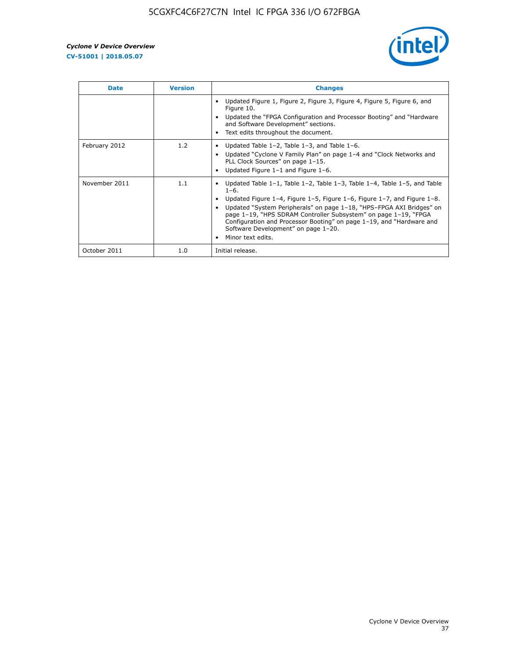

| <b>Date</b>   | <b>Version</b> | <b>Changes</b>                                                                                                                                                                                                                                                                                                                                                                                                                                                             |
|---------------|----------------|----------------------------------------------------------------------------------------------------------------------------------------------------------------------------------------------------------------------------------------------------------------------------------------------------------------------------------------------------------------------------------------------------------------------------------------------------------------------------|
|               |                | Updated Figure 1, Figure 2, Figure 3, Figure 4, Figure 5, Figure 6, and<br>Figure 10.<br>Updated the "FPGA Configuration and Processor Booting" and "Hardware<br>and Software Development" sections.<br>Text edits throughout the document.                                                                                                                                                                                                                                |
| February 2012 | 1.2            | Updated Table $1-2$ , Table $1-3$ , and Table $1-6$ .<br>Updated "Cyclone V Family Plan" on page 1-4 and "Clock Networks and<br>PLL Clock Sources" on page 1-15.<br>Updated Figure 1-1 and Figure 1-6.                                                                                                                                                                                                                                                                     |
| November 2011 | 1.1            | Updated Table $1-1$ , Table $1-2$ , Table $1-3$ , Table $1-4$ , Table $1-5$ , and Table<br>$1 - 6.$<br>Updated Figure 1-4, Figure 1-5, Figure 1-6, Figure 1-7, and Figure 1-8.<br>Updated "System Peripherals" on page 1-18, "HPS-FPGA AXI Bridges" on<br>page 1-19, "HPS SDRAM Controller Subsystem" on page 1-19, "FPGA<br>Configuration and Processor Booting" on page 1-19, and "Hardware and<br>Software Development" on page 1-20.<br>Minor text edits.<br>$\bullet$ |
| October 2011  | 1.0            | Initial release.                                                                                                                                                                                                                                                                                                                                                                                                                                                           |